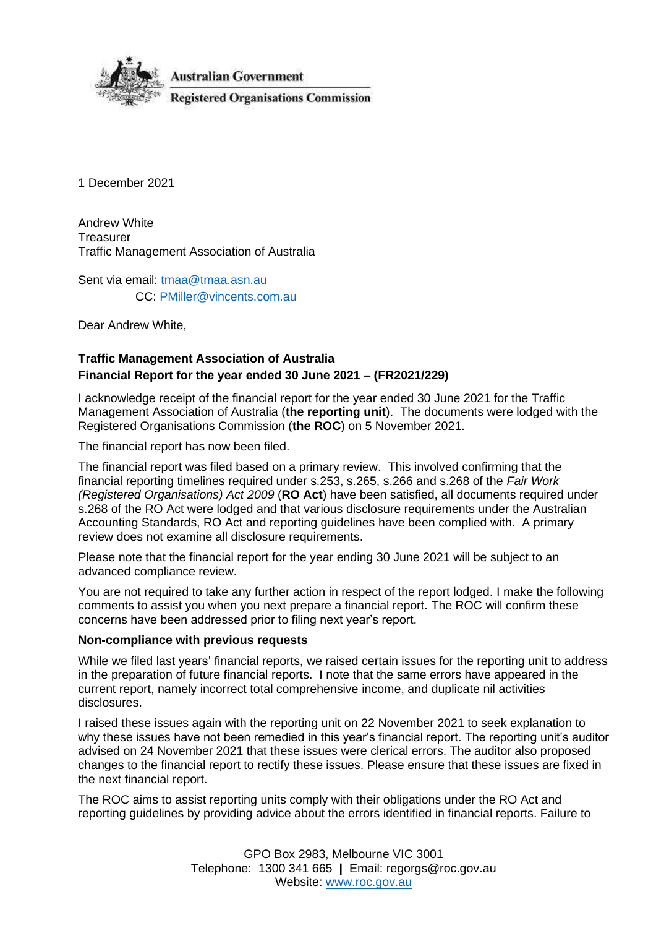

1 December 2021

Andrew White **Treasurer** Traffic Management Association of Australia

Sent via email: [tmaa@tmaa.asn.au](mailto:tmaa@tmaa.asn.au) CC: [PMiller@vincents.com.au](mailto:PMiller@vincents.com.au)

Dear Andrew White,

# **Traffic Management Association of Australia Financial Report for the year ended 30 June 2021 – (FR2021/229)**

I acknowledge receipt of the financial report for the year ended 30 June 2021 for the Traffic Management Association of Australia (**the reporting unit**). The documents were lodged with the Registered Organisations Commission (**the ROC**) on 5 November 2021.

The financial report has now been filed.

The financial report was filed based on a primary review. This involved confirming that the financial reporting timelines required under s.253, s.265, s.266 and s.268 of the *Fair Work (Registered Organisations) Act 2009* (**RO Act**) have been satisfied, all documents required under s.268 of the RO Act were lodged and that various disclosure requirements under the Australian Accounting Standards, RO Act and reporting guidelines have been complied with. A primary review does not examine all disclosure requirements.

Please note that the financial report for the year ending 30 June 2021 will be subject to an advanced compliance review.

You are not required to take any further action in respect of the report lodged. I make the following comments to assist you when you next prepare a financial report. The ROC will confirm these concerns have been addressed prior to filing next year's report.

#### **Non-compliance with previous requests**

While we filed last years' financial reports, we raised certain issues for the reporting unit to address in the preparation of future financial reports. I note that the same errors have appeared in the current report, namely incorrect total comprehensive income, and duplicate nil activities disclosures.

I raised these issues again with the reporting unit on 22 November 2021 to seek explanation to why these issues have not been remedied in this year's financial report. The reporting unit's auditor advised on 24 November 2021 that these issues were clerical errors. The auditor also proposed changes to the financial report to rectify these issues. Please ensure that these issues are fixed in the next financial report.

The ROC aims to assist reporting units comply with their obligations under the RO Act and reporting guidelines by providing advice about the errors identified in financial reports. Failure to

> GPO Box 2983, Melbourne VIC 3001 Telephone: 1300 341 665 **|** Email: regorgs@roc.gov.au Website: [www.roc.gov.au](https://www.roc.gov.au/)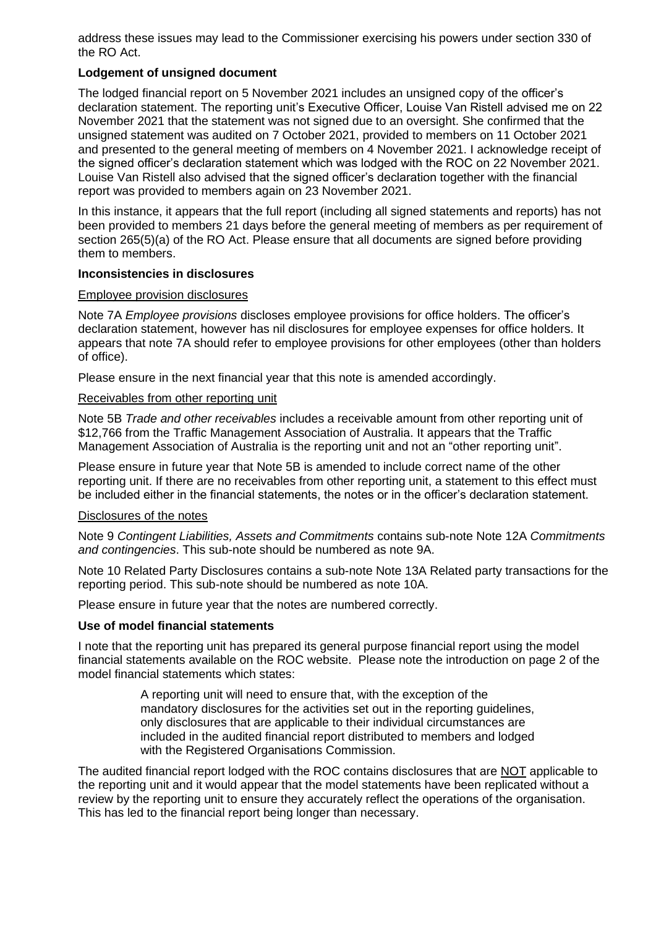address these issues may lead to the Commissioner exercising his powers under section 330 of the RO Act.

#### **Lodgement of unsigned document**

The lodged financial report on 5 November 2021 includes an unsigned copy of the officer's declaration statement. The reporting unit's Executive Officer, Louise Van Ristell advised me on 22 November 2021 that the statement was not signed due to an oversight. She confirmed that the unsigned statement was audited on 7 October 2021, provided to members on 11 October 2021 and presented to the general meeting of members on 4 November 2021. I acknowledge receipt of the signed officer's declaration statement which was lodged with the ROC on 22 November 2021. Louise Van Ristell also advised that the signed officer's declaration together with the financial report was provided to members again on 23 November 2021.

In this instance, it appears that the full report (including all signed statements and reports) has not been provided to members 21 days before the general meeting of members as per requirement of section 265(5)(a) of the RO Act. Please ensure that all documents are signed before providing them to members.

#### **Inconsistencies in disclosures**

#### Employee provision disclosures

Note 7A *Employee provisions* discloses employee provisions for office holders. The officer's declaration statement, however has nil disclosures for employee expenses for office holders. It appears that note 7A should refer to employee provisions for other employees (other than holders of office).

Please ensure in the next financial year that this note is amended accordingly.

#### Receivables from other reporting unit

Note 5B *Trade and other receivables* includes a receivable amount from other reporting unit of \$12,766 from the Traffic Management Association of Australia. It appears that the Traffic Management Association of Australia is the reporting unit and not an "other reporting unit".

Please ensure in future year that Note 5B is amended to include correct name of the other reporting unit. If there are no receivables from other reporting unit, a statement to this effect must be included either in the financial statements, the notes or in the officer's declaration statement.

#### Disclosures of the notes

Note 9 *Contingent Liabilities, Assets and Commitments* contains sub-note Note 12A *Commitments and contingencies*. This sub-note should be numbered as note 9A.

Note 10 Related Party Disclosures contains a sub-note Note 13A Related party transactions for the reporting period. This sub-note should be numbered as note 10A.

Please ensure in future year that the notes are numbered correctly.

#### **Use of model financial statements**

I note that the reporting unit has prepared its general purpose financial report using the model financial statements available on the ROC website. Please note the introduction on page 2 of the model financial statements which states:

> A reporting unit will need to ensure that, with the exception of the mandatory disclosures for the activities set out in the reporting guidelines, only disclosures that are applicable to their individual circumstances are included in the audited financial report distributed to members and lodged with the Registered Organisations Commission.

The audited financial report lodged with the ROC contains disclosures that are NOT applicable to the reporting unit and it would appear that the model statements have been replicated without a review by the reporting unit to ensure they accurately reflect the operations of the organisation. This has led to the financial report being longer than necessary.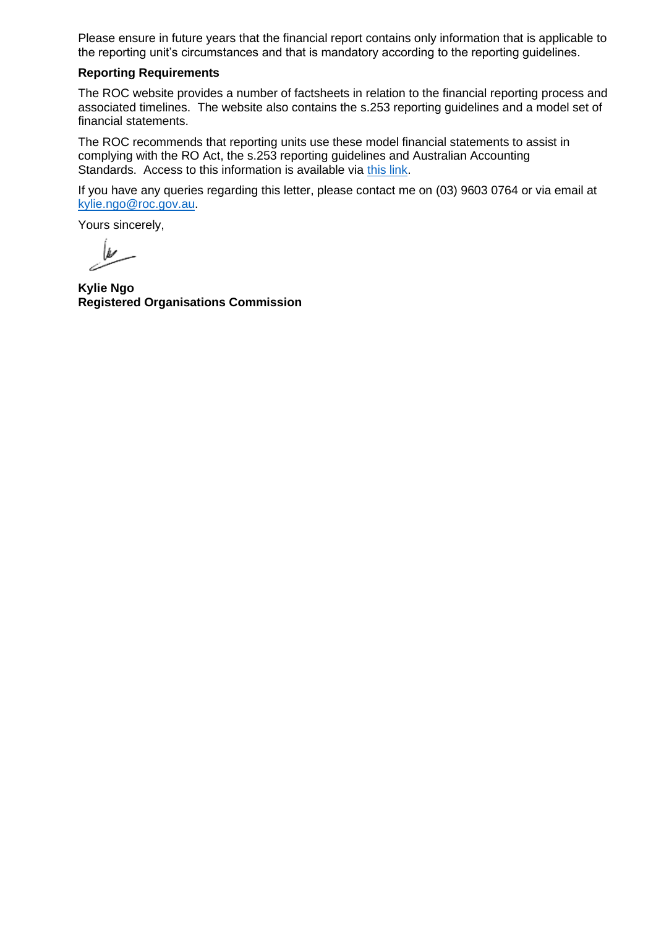Please ensure in future years that the financial report contains only information that is applicable to the reporting unit's circumstances and that is mandatory according to the reporting guidelines.

#### **Reporting Requirements**

The ROC website provides a number of factsheets in relation to the financial reporting process and associated timelines. The website also contains the s.253 reporting guidelines and a model set of financial statements.

The ROC recommends that reporting units use these model financial statements to assist in complying with the RO Act, the s.253 reporting guidelines and Australian Accounting Standards. Access to this information is available via [this link.](https://www.roc.gov.au/running-a-registered-organisation/financial-reporting)

If you have any queries regarding this letter, please contact me on (03) 9603 0764 or via email at [kylie.ngo@roc.gov.au.](mailto:kylie.ngo@roc.gov.au)

Yours sincerely,

**Kylie Ngo Registered Organisations Commission**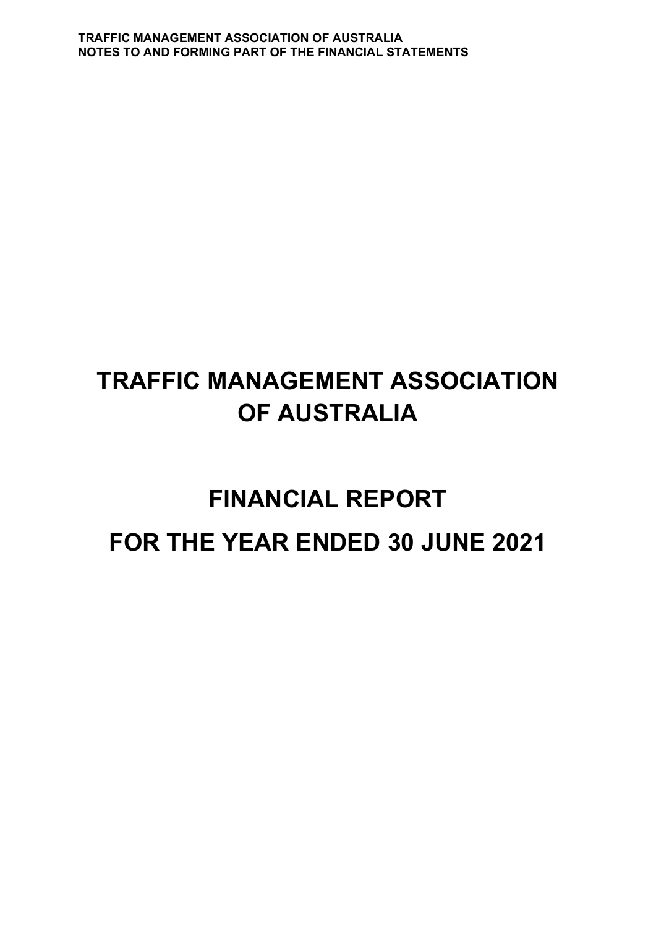# **FINANCIAL REPORT FOR THE YEAR ENDED 30 JUNE 2021**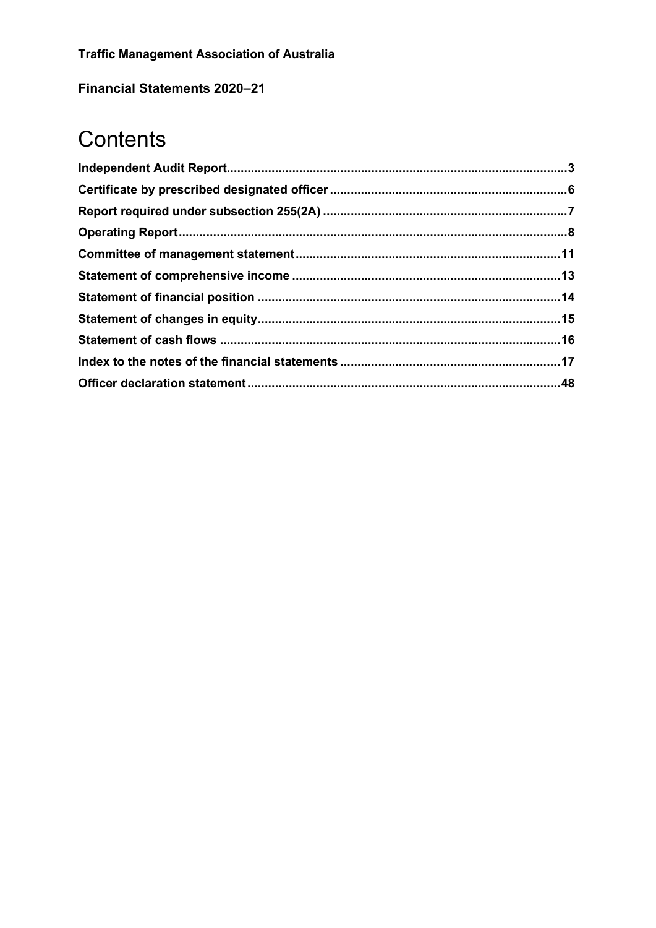**Financial Statements 2020-21** 

# Contents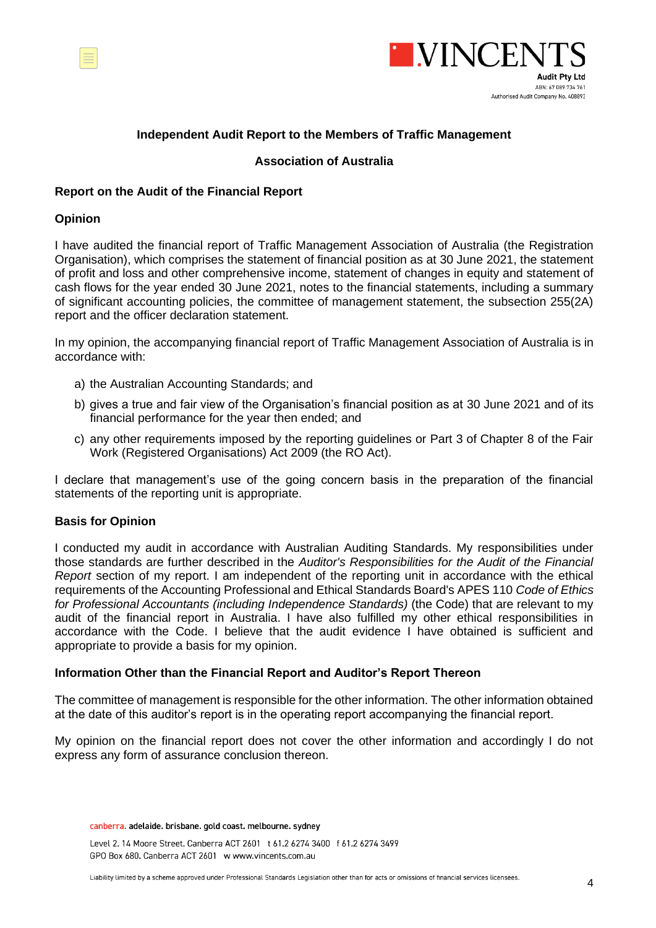<span id="page-5-0"></span>



#### **Independent Audit Report to the Members of Traffic Management**

#### **Association of Australia**

#### **Report on the Audit of the Financial Report**

#### **Opinion**

I have audited the financial report of Traffic Management Association of Australia (the Registration Organisation), which comprises the statement of financial position as at 30 June 2021, the statement of profit and loss and other comprehensive income, statement of changes in equity and statement of cash flows for the year ended 30 June 2021, notes to the financial statements, including a summary of significant accounting policies, the committee of management statement, the subsection 255(2A) report and the officer declaration statement.

In my opinion, the accompanying financial report of Traffic Management Association of Australia is in accordance with:

- a) the Australian Accounting Standards; and
- b) gives a true and fair view of the Organisation's financial position as at 30 June 2021 and of its financial performance for the year then ended; and
- c) any other requirements imposed by the reporting guidelines or Part 3 of Chapter 8 of the Fair Work (Registered Organisations) Act 2009 (the RO Act).

I declare that management's use of the going concern basis in the preparation of the financial statements of the reporting unit is appropriate.

#### **Basis for Opinion**

I conducted my audit in accordance with Australian Auditing Standards. My responsibilities under those standards are further described in the *Auditor's Responsibilities for the Audit of the Financial Report* section of my report. I am independent of the reporting unit in accordance with the ethical requirements of the Accounting Professional and Ethical Standards Board's APES 110 *Code of Ethics for Professional Accountants (including Independence Standards)* (the Code) that are relevant to my audit of the financial report in Australia. I have also fulfilled my other ethical responsibilities in accordance with the Code. I believe that the audit evidence I have obtained is sufficient and appropriate to provide a basis for my opinion.

#### **Information Other than the Financial Report and Auditor's Report Thereon**

The committee of management is responsible for the other information. The other information obtained at the date of this auditor's report is in the operating report accompanying the financial report.

My opinion on the financial report does not cover the other information and accordingly I do not express any form of assurance conclusion thereon.

canberra. adelaide. brisbane. gold coast. melbourne. sydney

Level 2. 14 Moore Street. Canberra ACT 2601 t 61.2 6274 3400 f 61.2 6274 3499 GPO Box 680. Canberra ACT 2601 w www.vincents.com.au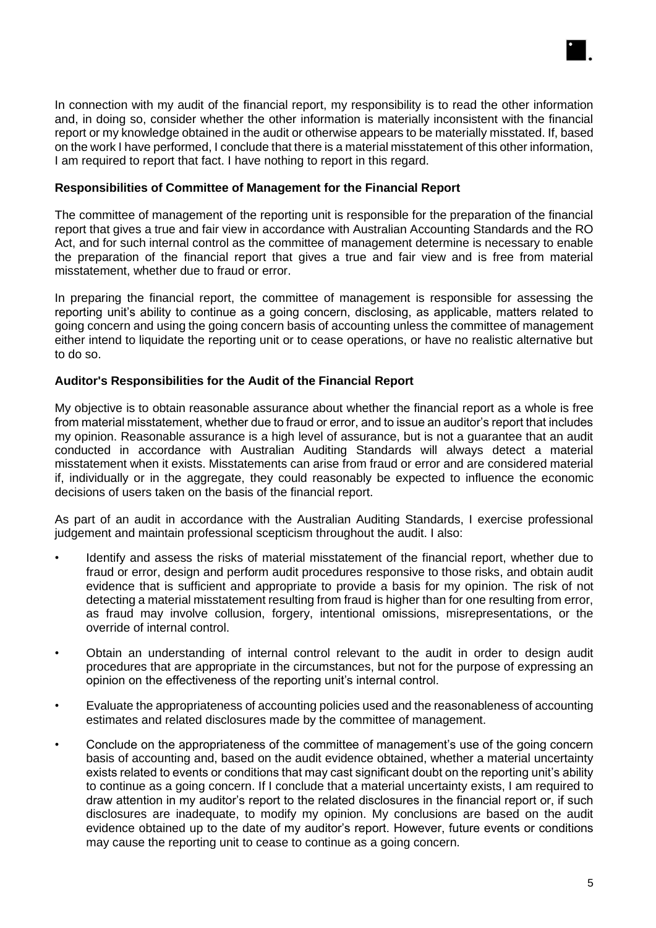

In connection with my audit of the financial report, my responsibility is to read the other information and, in doing so, consider whether the other information is materially inconsistent with the financial report or my knowledge obtained in the audit or otherwise appears to be materially misstated. If, based on the work I have performed, I conclude that there is a material misstatement of this other information, I am required to report that fact. I have nothing to report in this regard.

#### **Responsibilities of Committee of Management for the Financial Report**

The committee of management of the reporting unit is responsible for the preparation of the financial report that gives a true and fair view in accordance with Australian Accounting Standards and the RO Act, and for such internal control as the committee of management determine is necessary to enable the preparation of the financial report that gives a true and fair view and is free from material misstatement, whether due to fraud or error.

In preparing the financial report, the committee of management is responsible for assessing the reporting unit's ability to continue as a going concern, disclosing, as applicable, matters related to going concern and using the going concern basis of accounting unless the committee of management either intend to liquidate the reporting unit or to cease operations, or have no realistic alternative but to do so.

#### **Auditor's Responsibilities for the Audit of the Financial Report**

My objective is to obtain reasonable assurance about whether the financial report as a whole is free from material misstatement, whether due to fraud or error, and to issue an auditor's report that includes my opinion. Reasonable assurance is a high level of assurance, but is not a guarantee that an audit conducted in accordance with Australian Auditing Standards will always detect a material misstatement when it exists. Misstatements can arise from fraud or error and are considered material if, individually or in the aggregate, they could reasonably be expected to influence the economic decisions of users taken on the basis of the financial report.

As part of an audit in accordance with the Australian Auditing Standards, I exercise professional judgement and maintain professional scepticism throughout the audit. I also:

- Identify and assess the risks of material misstatement of the financial report, whether due to fraud or error, design and perform audit procedures responsive to those risks, and obtain audit evidence that is sufficient and appropriate to provide a basis for my opinion. The risk of not detecting a material misstatement resulting from fraud is higher than for one resulting from error, as fraud may involve collusion, forgery, intentional omissions, misrepresentations, or the override of internal control.
- Obtain an understanding of internal control relevant to the audit in order to design audit procedures that are appropriate in the circumstances, but not for the purpose of expressing an opinion on the effectiveness of the reporting unit's internal control.
- Evaluate the appropriateness of accounting policies used and the reasonableness of accounting estimates and related disclosures made by the committee of management.
- Conclude on the appropriateness of the committee of management's use of the going concern basis of accounting and, based on the audit evidence obtained, whether a material uncertainty exists related to events or conditions that may cast significant doubt on the reporting unit's ability to continue as a going concern. If I conclude that a material uncertainty exists, I am required to draw attention in my auditor's report to the related disclosures in the financial report or, if such disclosures are inadequate, to modify my opinion. My conclusions are based on the audit evidence obtained up to the date of my auditor's report. However, future events or conditions may cause the reporting unit to cease to continue as a going concern.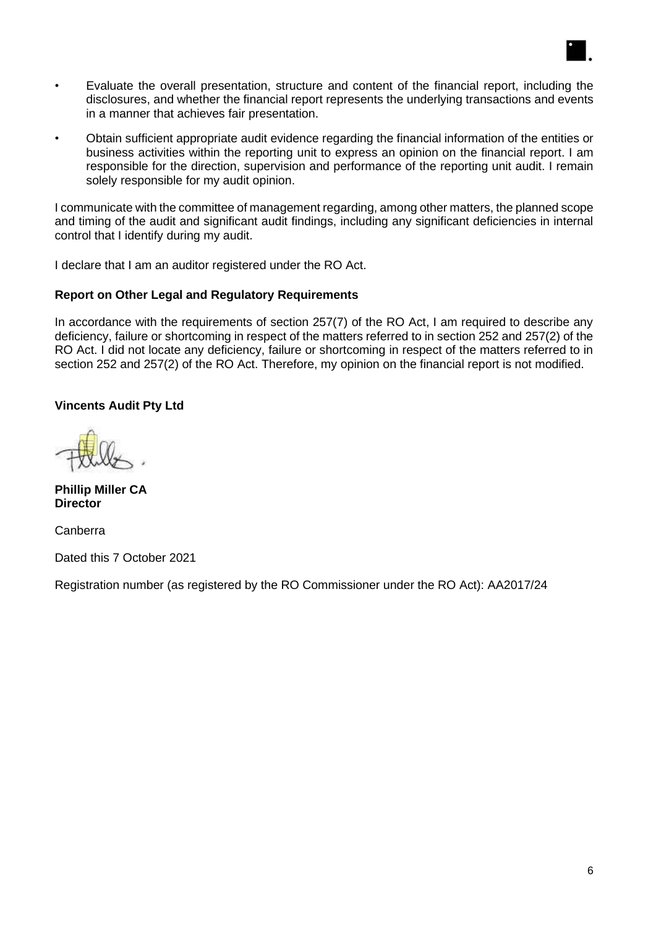- Evaluate the overall presentation, structure and content of the financial report, including the disclosures, and whether the financial report represents the underlying transactions and events in a manner that achieves fair presentation.
- Obtain sufficient appropriate audit evidence regarding the financial information of the entities or business activities within the reporting unit to express an opinion on the financial report. I am responsible for the direction, supervision and performance of the reporting unit audit. I remain solely responsible for my audit opinion.

I communicate with the committee of management regarding, among other matters, the planned scope and timing of the audit and significant audit findings, including any significant deficiencies in internal control that I identify during my audit.

I declare that I am an auditor registered under the RO Act.

#### **Report on Other Legal and Regulatory Requirements**

In accordance with the requirements of section 257(7) of the RO Act, I am required to describe any deficiency, failure or shortcoming in respect of the matters referred to in section 252 and 257(2) of the RO Act. I did not locate any deficiency, failure or shortcoming in respect of the matters referred to in section 252 and 257(2) of the RO Act. Therefore, my opinion on the financial report is not modified.

#### **Vincents Audit Pty Ltd**

**Phillip Miller CA Director**

Canberra

Dated this 7 October 2021

Registration number (as registered by the RO Commissioner under the RO Act): AA2017/24

 $\blacksquare$ .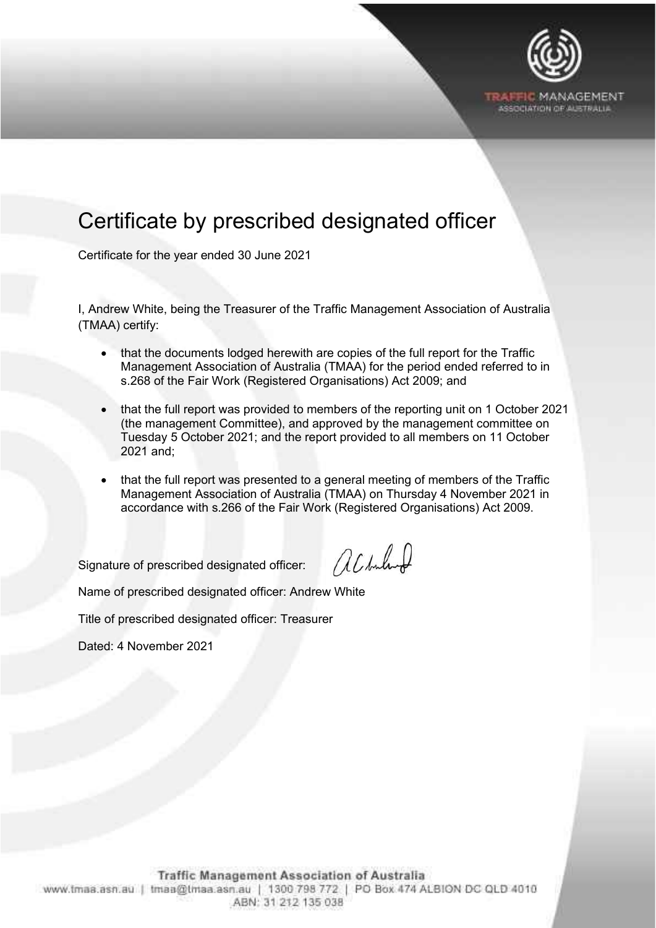

# <span id="page-8-0"></span>Certificate by prescribed designated officer

Certificate for the year ended 30 June 2021

I, Andrew White, being the Treasurer of the Traffic Management Association of Australia (TMAA) certify:

- that the documents lodged herewith are copies of the full report for the Traffic Management Association of Australia (TMAA) for the period ended referred to in s.268 of the Fair Work (Registered Organisations) Act 2009; and
- that the full report was provided to members of the reporting unit on 1 October 2021 (the management Committee), and approved by the management committee on Tuesday 5 October 2021; and the report provided to all members on 11 October 2021 and;
- that the full report was presented to a general meeting of members of the Traffic Management Association of Australia (TMAA) on Thursday 4 November 2021 in accordance with s.266 of the Fair Work (Registered Organisations) Act 2009.

Signature of prescribed designated officer:

achulund

Name of prescribed designated officer: Andrew White

Title of prescribed designated officer: Treasurer

Dated: 4 November 2021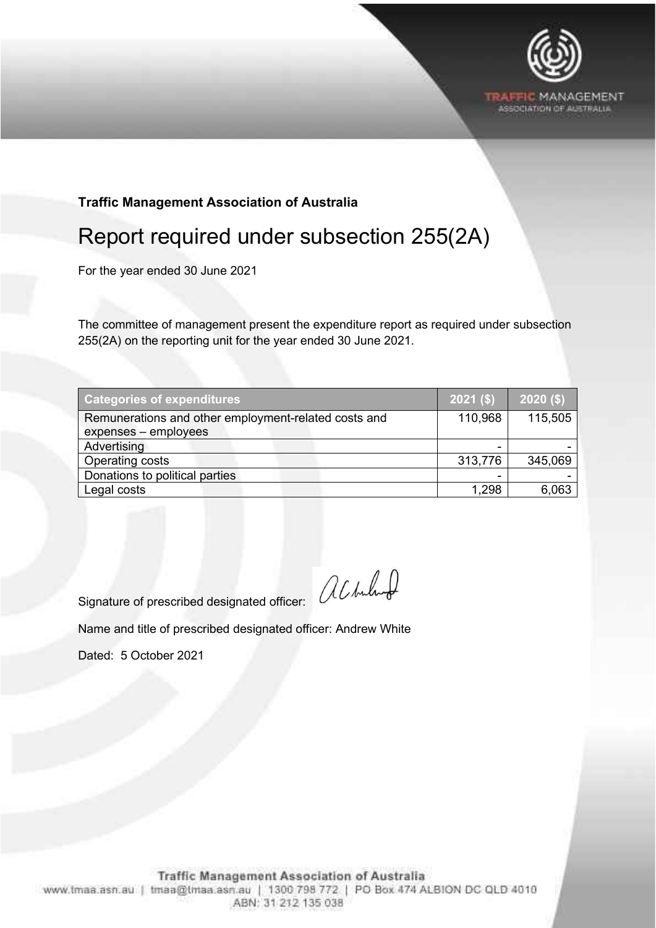

**TRAFFIC MANAGEMENT** •.%.:..-:IATION OF AUSTRALIA

# **Traffic Management Association of Australia**

# <span id="page-9-0"></span>Report required under subsection 255(2A)

For the year ended 30 June 2021

The committee of management present the expenditure report as required under subsection 255(2A) on the reporting unit for the year ended 30 June 2021.

| <b>Categories of expenditures</b>                                            | $2021($ \$) | $2020($ \$) |
|------------------------------------------------------------------------------|-------------|-------------|
| Remunerations and other employment-related costs and<br>expenses - employees | 110,968     | 115,505     |
| Advertising                                                                  | -           |             |
| Operating costs                                                              | 313,776     | 345,069     |
| Donations to political parties                                               |             |             |
| Legal costs                                                                  | 1.298       | 6,063       |

Signature of prescribed designated officer:  $\bigotimes{\cal L}$  hubund

Name and title of prescribed designated officer: Andrew White

Dated: 5 October 2021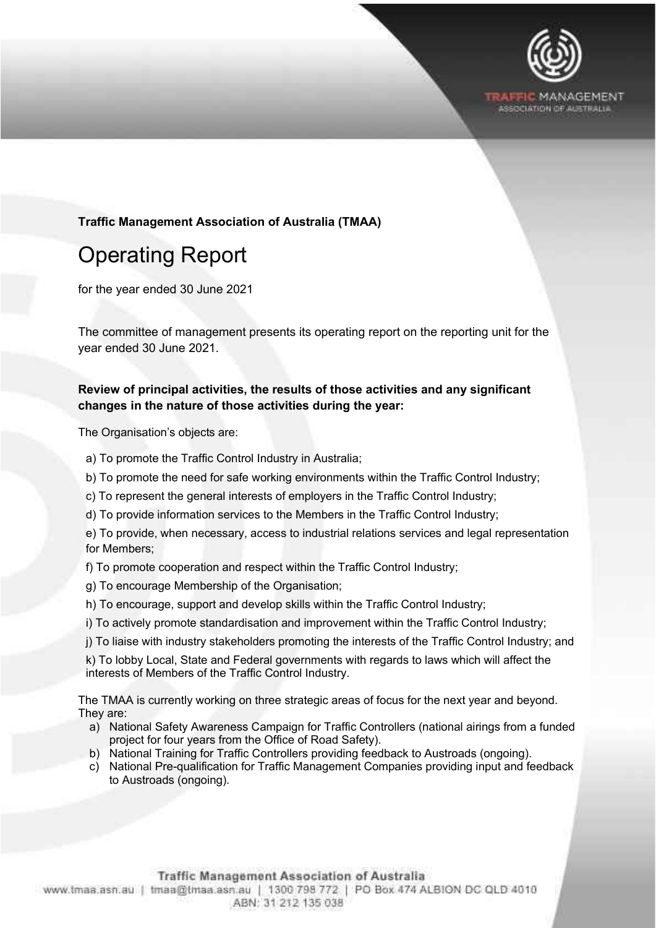

#### **Traffic Management Association of Australia (TMAA)**

# <span id="page-10-0"></span>Operating Report

for the year ended 30 June 2021

The committee of management presents its operating report on the reporting unit for the year ended 30 June 2021.

#### **Review of principal activities, the results of those activities and any significant changes in the nature of those activities during the year:**

The Organisation's objects are:

- a) To promote the Traffic Control Industry in Australia;
- b) To promote the need for safe working environments within the Traffic Control Industry;
- c) To represent the general interests of employers in the Traffic Control Industry;
- d) To provide information services to the Members in the Traffic Control Industry;

e) To provide, when necessary, access to industrial relations services and legal representation for Members;

- f) To promote cooperation and respect within the Traffic Control Industry;
- g) To encourage Membership of the Organisation;
- h) To encourage, support and develop skills within the Traffic Control Industry;
- i) To actively promote standardisation and improvement within the Traffic Control Industry;
- j) To liaise with industry stakeholders promoting the interests of the Traffic Control Industry; and

k) To lobby Local, State and Federal governments with regards to laws which will affect the interests of Members of the Traffic Control Industry.

The TMAA is currently working on three strategic areas of focus for the next year and beyond. They are:

- a) National Safety Awareness Campaign for Traffic Controllers (national airings from a funded project for four years from the Office of Road Safety).
- b) National Training for Traffic Controllers providing feedback to Austroads (ongoing).
- c) National Pre-qualification for Traffic Management Companies providing input and feedback to Austroads (ongoing).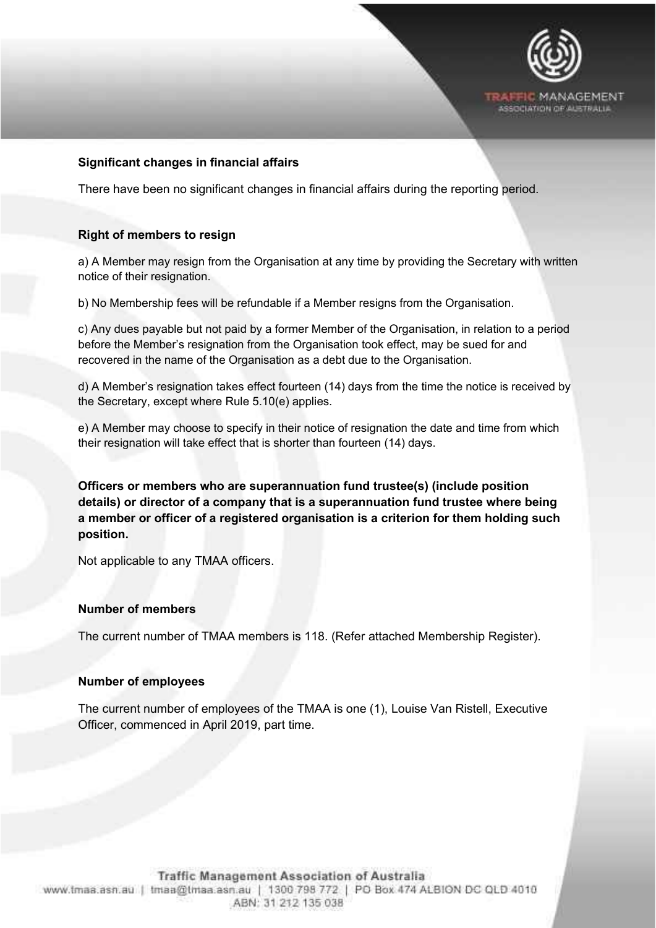

#### **Significant changes in financial affairs**

There have been no significant changes in financial affairs during the reporting period.

#### **Right of members to resign**

a) A Member may resign from the Organisation at any time by providing the Secretary with written notice of their resignation.

b) No Membership fees will be refundable if a Member resigns from the Organisation.

c) Any dues payable but not paid by a former Member of the Organisation, in relation to a period before the Member's resignation from the Organisation took effect, may be sued for and recovered in the name of the Organisation as a debt due to the Organisation.

d) A Member's resignation takes effect fourteen (14) days from the time the notice is received by the Secretary, except where Rule 5.10(e) applies.

e) A Member may choose to specify in their notice of resignation the date and time from which their resignation will take effect that is shorter than fourteen (14) days.

**Officers or members who are superannuation fund trustee(s) (include position details) or director of a company that is a superannuation fund trustee where being a member or officer of a registered organisation is a criterion for them holding such position.**

Not applicable to any TMAA officers.

#### **Number of members**

The current number of TMAA members is 118. (Refer attached Membership Register).

#### **Number of employees**

The current number of employees of the TMAA is one (1), Louise Van Ristell, Executive Officer, commenced in April 2019, part time.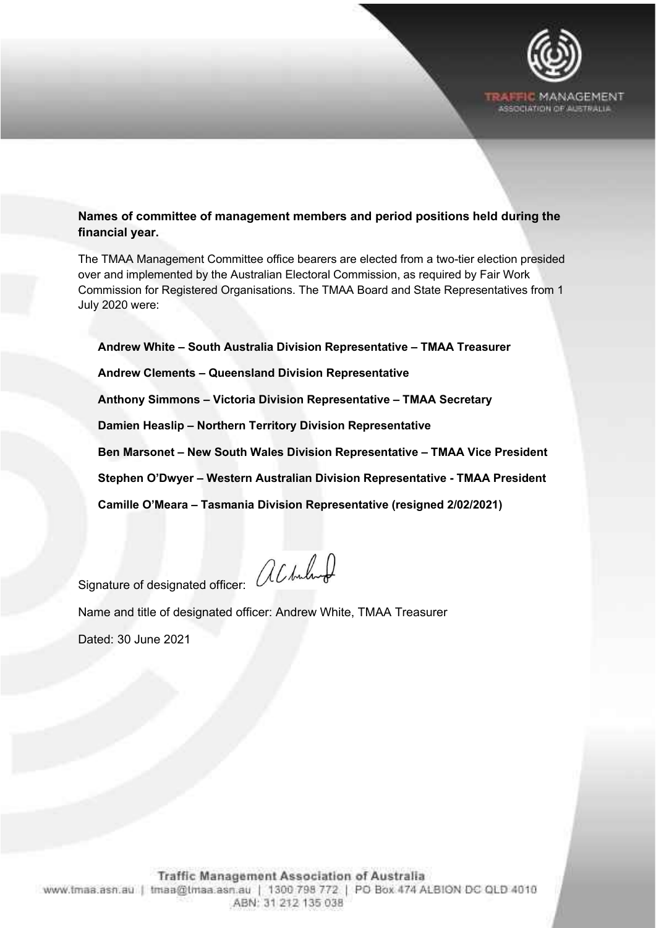

# **Names of committee of management members and period positions held during the financial year.**

The TMAA Management Committee office bearers are elected from a two-tier election presided over and implemented by the Australian Electoral Commission, as required by Fair Work Commission for Registered Organisations. The TMAA Board and State Representatives from 1 July 2020 were:

**Andrew White – South Australia Division Representative – TMAA Treasurer**

**Andrew Clements – Queensland Division Representative**

**Anthony Simmons – Victoria Division Representative – TMAA Secretary**

**Damien Heaslip – Northern Territory Division Representative**

**Ben Marsonet – New South Wales Division Representative – TMAA Vice President**

**Stephen O'Dwyer – Western Australian Division Representative - TMAA President**

**Camille O'Meara – Tasmania Division Representative (resigned 2/02/2021)**

Signature of designated officer: all buluted

Name and title of designated officer: Andrew White, TMAA Treasurer

Dated: 30 June 2021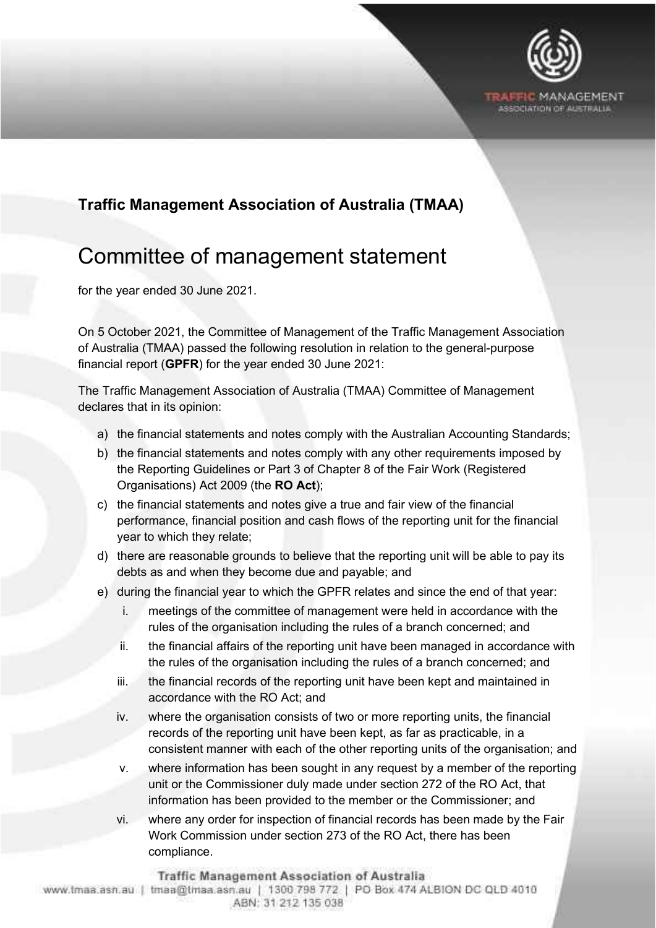

# **Traffic Management Association of Australia (TMAA)**

# <span id="page-13-0"></span>Committee of management statement

for the year ended 30 June 2021.

On 5 October 2021, the Committee of Management of the Traffic Management Association of Australia (TMAA) passed the following resolution in relation to the general-purpose financial report (**GPFR**) for the year ended 30 June 2021:

The Traffic Management Association of Australia (TMAA) Committee of Management declares that in its opinion:

- a) the financial statements and notes comply with the Australian Accounting Standards;
- b) the financial statements and notes comply with any other requirements imposed by the Reporting Guidelines or Part 3 of Chapter 8 of the Fair Work (Registered Organisations) Act 2009 (the **RO Act**);
- c) the financial statements and notes give a true and fair view of the financial performance, financial position and cash flows of the reporting unit for the financial year to which they relate;
- d) there are reasonable grounds to believe that the reporting unit will be able to pay its debts as and when they become due and payable; and
- e) during the financial year to which the GPFR relates and since the end of that year:
	- i. meetings of the committee of management were held in accordance with the rules of the organisation including the rules of a branch concerned; and
	- ii. the financial affairs of the reporting unit have been managed in accordance with the rules of the organisation including the rules of a branch concerned; and
	- iii. the financial records of the reporting unit have been kept and maintained in accordance with the RO Act; and
	- iv. where the organisation consists of two or more reporting units, the financial records of the reporting unit have been kept, as far as practicable, in a consistent manner with each of the other reporting units of the organisation; and
	- v. where information has been sought in any request by a member of the reporting unit or the Commissioner duly made under section 272 of the RO Act, that information has been provided to the member or the Commissioner; and
	- vi. where any order for inspection of financial records has been made by the Fair Work Commission under section 273 of the RO Act, there has been compliance.

Traffic Management Association of Australia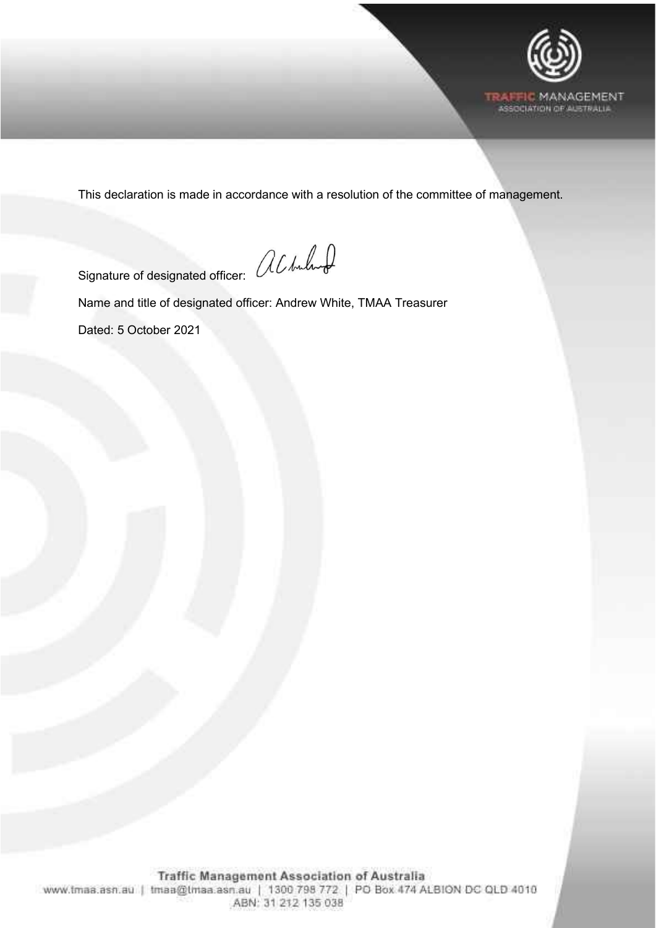

This declaration is made in accordance with a resolution of the committee of management.

Signature of designated officer:  $\bigcup\mathcal{L}\bigcup\mathcal{L}$ 

Name and title of designated officer: Andrew White, TMAA Treasurer

Dated: 5 October 2021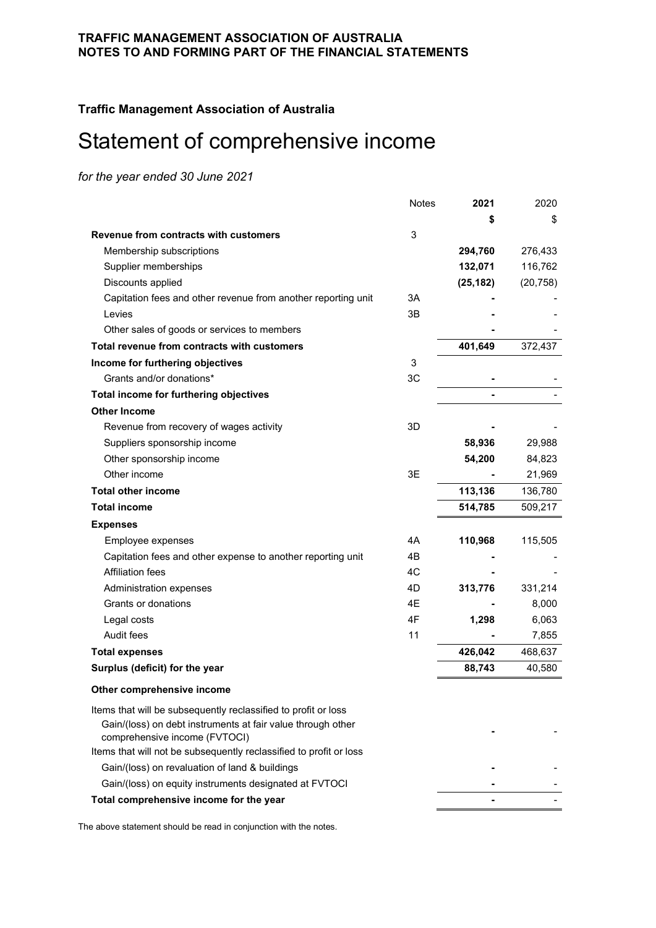**Traffic Management Association of Australia**

# <span id="page-15-0"></span>Statement of comprehensive income

*for the year ended 30 June 2021*

|                                                                    | <b>Notes</b> | 2021      | 2020      |
|--------------------------------------------------------------------|--------------|-----------|-----------|
|                                                                    |              | S         | \$        |
| Revenue from contracts with customers                              | 3            |           |           |
| Membership subscriptions                                           |              | 294,760   | 276,433   |
| Supplier memberships                                               |              | 132,071   | 116,762   |
| Discounts applied                                                  |              | (25, 182) | (20, 758) |
| Capitation fees and other revenue from another reporting unit      | 3A           |           |           |
| Levies                                                             | 3B           |           |           |
| Other sales of goods or services to members                        |              |           |           |
| Total revenue from contracts with customers                        |              | 401,649   | 372,437   |
| Income for furthering objectives                                   | 3            |           |           |
| Grants and/or donations*                                           | 3C           |           |           |
| Total income for furthering objectives                             |              |           |           |
| <b>Other Income</b>                                                |              |           |           |
| Revenue from recovery of wages activity                            | 3D           |           |           |
| Suppliers sponsorship income                                       |              | 58,936    | 29,988    |
| Other sponsorship income                                           |              | 54,200    | 84,823    |
| Other income                                                       | 3E           |           | 21,969    |
| <b>Total other income</b>                                          |              | 113,136   | 136,780   |
| <b>Total income</b>                                                |              | 514,785   | 509,217   |
| <b>Expenses</b>                                                    |              |           |           |
| Employee expenses                                                  | 4A           | 110,968   | 115,505   |
| Capitation fees and other expense to another reporting unit        | 4B           |           |           |
| <b>Affiliation fees</b>                                            | 4C           |           |           |
| Administration expenses                                            | 4D           | 313,776   | 331,214   |
| Grants or donations                                                | 4E           |           | 8,000     |
| Legal costs                                                        | 4F           | 1,298     | 6,063     |
| Audit fees                                                         | 11           |           | 7,855     |
| <b>Total expenses</b>                                              |              | 426,042   | 468,637   |
| Surplus (deficit) for the year                                     |              | 88,743    | 40,580    |
| Other comprehensive income                                         |              |           |           |
| Items that will be subsequently reclassified to profit or loss     |              |           |           |
| Gain/(loss) on debt instruments at fair value through other        |              |           |           |
| comprehensive income (FVTOCI)                                      |              |           |           |
| Items that will not be subsequently reclassified to profit or loss |              |           |           |
| Gain/(loss) on revaluation of land & buildings                     |              |           |           |
| Gain/(loss) on equity instruments designated at FVTOCI             |              |           |           |
| Total comprehensive income for the year                            |              |           |           |
|                                                                    |              |           |           |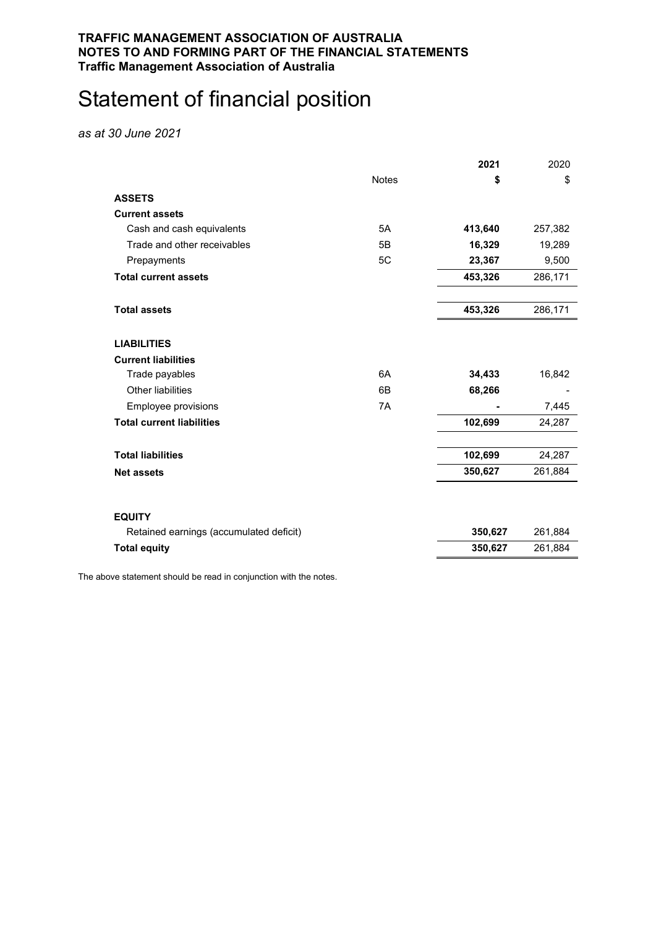#### **TRAFFIC MANAGEMENT ASSOCIATION OF AUSTRALIA NOTES TO AND FORMING PART OF THE FINANCIAL STATEMENTS Traffic Management Association of Australia**

# <span id="page-16-0"></span>Statement of financial position

*as at 30 June 2021*

| <b>Notes</b><br>\$<br>\$<br><b>ASSETS</b><br><b>Current assets</b><br>Cash and cash equivalents<br>5A<br>413,640<br>257,382<br>Trade and other receivables<br>5B<br>16,329<br>19,289<br>5C<br>23,367<br>9,500<br>Prepayments<br><b>Total current assets</b><br>453,326<br>286,171<br>453,326<br><b>Total assets</b><br>286,171<br><b>LIABILITIES</b><br><b>Current liabilities</b><br>6A<br>34,433<br>16,842<br>Trade payables<br>Other liabilities<br>6B<br>68,266<br>Employee provisions<br>7A<br>7,445<br><b>Total current liabilities</b><br>102,699<br>24,287<br><b>Total liabilities</b><br>102,699<br>24,287<br>350,627<br>261,884<br><b>Net assets</b><br><b>EQUITY</b><br>350,627<br>Retained earnings (accumulated deficit)<br>261,884<br><b>Total equity</b><br>350,627<br>261,884 |  | 2021 | 2020 |
|-----------------------------------------------------------------------------------------------------------------------------------------------------------------------------------------------------------------------------------------------------------------------------------------------------------------------------------------------------------------------------------------------------------------------------------------------------------------------------------------------------------------------------------------------------------------------------------------------------------------------------------------------------------------------------------------------------------------------------------------------------------------------------------------------|--|------|------|
|                                                                                                                                                                                                                                                                                                                                                                                                                                                                                                                                                                                                                                                                                                                                                                                               |  |      |      |
|                                                                                                                                                                                                                                                                                                                                                                                                                                                                                                                                                                                                                                                                                                                                                                                               |  |      |      |
|                                                                                                                                                                                                                                                                                                                                                                                                                                                                                                                                                                                                                                                                                                                                                                                               |  |      |      |
|                                                                                                                                                                                                                                                                                                                                                                                                                                                                                                                                                                                                                                                                                                                                                                                               |  |      |      |
|                                                                                                                                                                                                                                                                                                                                                                                                                                                                                                                                                                                                                                                                                                                                                                                               |  |      |      |
|                                                                                                                                                                                                                                                                                                                                                                                                                                                                                                                                                                                                                                                                                                                                                                                               |  |      |      |
|                                                                                                                                                                                                                                                                                                                                                                                                                                                                                                                                                                                                                                                                                                                                                                                               |  |      |      |
|                                                                                                                                                                                                                                                                                                                                                                                                                                                                                                                                                                                                                                                                                                                                                                                               |  |      |      |
|                                                                                                                                                                                                                                                                                                                                                                                                                                                                                                                                                                                                                                                                                                                                                                                               |  |      |      |
|                                                                                                                                                                                                                                                                                                                                                                                                                                                                                                                                                                                                                                                                                                                                                                                               |  |      |      |
|                                                                                                                                                                                                                                                                                                                                                                                                                                                                                                                                                                                                                                                                                                                                                                                               |  |      |      |
|                                                                                                                                                                                                                                                                                                                                                                                                                                                                                                                                                                                                                                                                                                                                                                                               |  |      |      |
|                                                                                                                                                                                                                                                                                                                                                                                                                                                                                                                                                                                                                                                                                                                                                                                               |  |      |      |
|                                                                                                                                                                                                                                                                                                                                                                                                                                                                                                                                                                                                                                                                                                                                                                                               |  |      |      |
|                                                                                                                                                                                                                                                                                                                                                                                                                                                                                                                                                                                                                                                                                                                                                                                               |  |      |      |
|                                                                                                                                                                                                                                                                                                                                                                                                                                                                                                                                                                                                                                                                                                                                                                                               |  |      |      |
|                                                                                                                                                                                                                                                                                                                                                                                                                                                                                                                                                                                                                                                                                                                                                                                               |  |      |      |
|                                                                                                                                                                                                                                                                                                                                                                                                                                                                                                                                                                                                                                                                                                                                                                                               |  |      |      |
|                                                                                                                                                                                                                                                                                                                                                                                                                                                                                                                                                                                                                                                                                                                                                                                               |  |      |      |
|                                                                                                                                                                                                                                                                                                                                                                                                                                                                                                                                                                                                                                                                                                                                                                                               |  |      |      |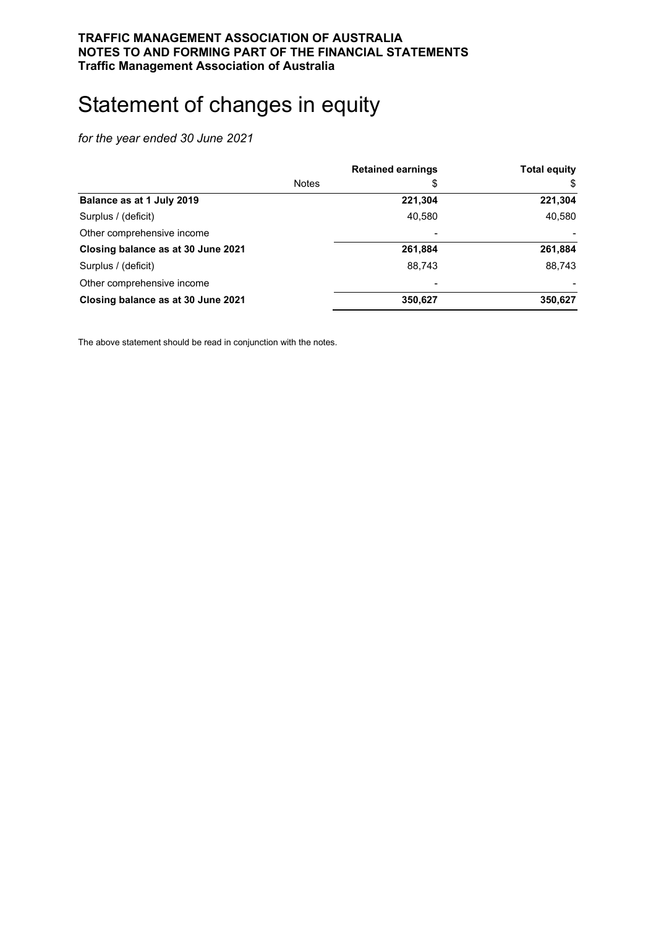# <span id="page-17-0"></span>Statement of changes in equity

*for the year ended 30 June 2021*

|                                    |              | <b>Retained earnings</b> | <b>Total equity</b> |
|------------------------------------|--------------|--------------------------|---------------------|
|                                    | <b>Notes</b> | \$                       | \$                  |
| Balance as at 1 July 2019          |              | 221,304                  | 221,304             |
| Surplus / (deficit)                |              | 40.580                   | 40,580              |
| Other comprehensive income         |              | $\overline{\phantom{a}}$ |                     |
| Closing balance as at 30 June 2021 |              | 261,884                  | 261,884             |
| Surplus / (deficit)                |              | 88.743                   | 88,743              |
| Other comprehensive income         |              |                          |                     |
| Closing balance as at 30 June 2021 |              | 350,627                  | 350,627             |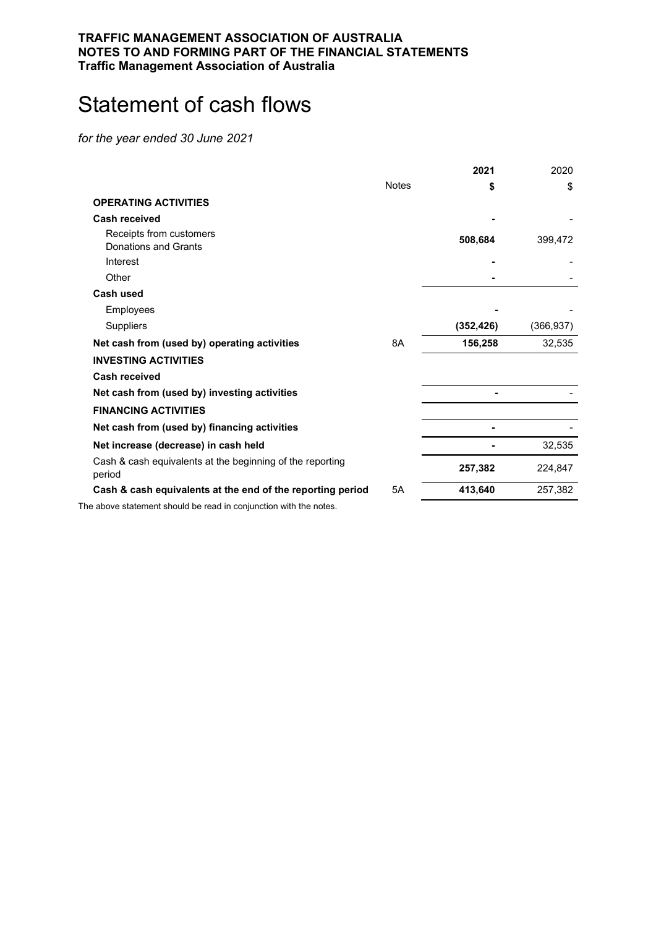#### **TRAFFIC MANAGEMENT ASSOCIATION OF AUSTRALIA NOTES TO AND FORMING PART OF THE FINANCIAL STATEMENTS Traffic Management Association of Australia**

# <span id="page-18-0"></span>Statement of cash flows

*for the year ended 30 June 2021*

|                                                                     |              | 2021       | 2020       |
|---------------------------------------------------------------------|--------------|------------|------------|
|                                                                     | <b>Notes</b> | S          | \$         |
| <b>OPERATING ACTIVITIES</b>                                         |              |            |            |
| Cash received                                                       |              |            |            |
| Receipts from customers                                             |              | 508,684    | 399,472    |
| Donations and Grants                                                |              |            |            |
| Interest                                                            |              |            |            |
| Other                                                               |              |            |            |
| <b>Cash used</b>                                                    |              |            |            |
| Employees                                                           |              |            |            |
| Suppliers                                                           |              | (352, 426) | (366, 937) |
| Net cash from (used by) operating activities                        | 8A           | 156,258    | 32,535     |
| <b>INVESTING ACTIVITIES</b>                                         |              |            |            |
| <b>Cash received</b>                                                |              |            |            |
| Net cash from (used by) investing activities                        |              |            |            |
| <b>FINANCING ACTIVITIES</b>                                         |              |            |            |
| Net cash from (used by) financing activities                        |              |            |            |
| Net increase (decrease) in cash held                                |              |            | 32,535     |
| Cash & cash equivalents at the beginning of the reporting<br>period |              | 257,382    | 224,847    |
| Cash & cash equivalents at the end of the reporting period          | 5A           | 413,640    | 257,382    |
|                                                                     |              |            |            |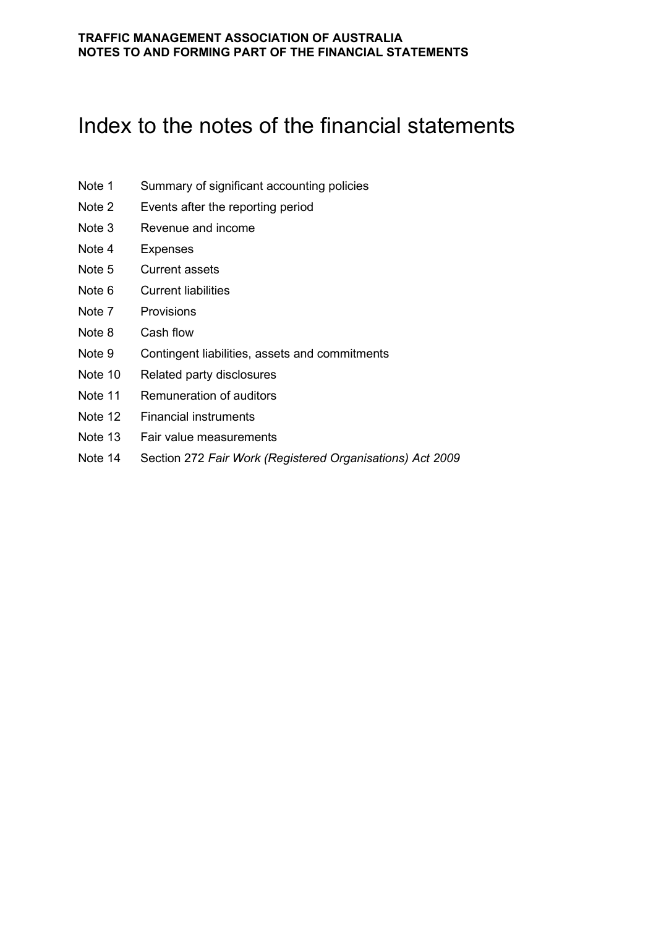# <span id="page-19-0"></span>Index to the notes of the financial statements

- Note 1 Summary of significant accounting policies
- Note 2 Events after the reporting period
- Note 3 Revenue and income
- Note 4 Expenses
- Note 5 Current assets
- Note 6 Current liabilities
- Note 7 Provisions
- Note 8 Cash flow
- Note 9 Contingent liabilities, assets and commitments
- Note 10 Related party disclosures
- Note 11 Remuneration of auditors
- Note 12 Financial instruments
- Note 13 Fair value measurements
- Note 14 Section 272 *Fair Work (Registered Organisations) Act 2009*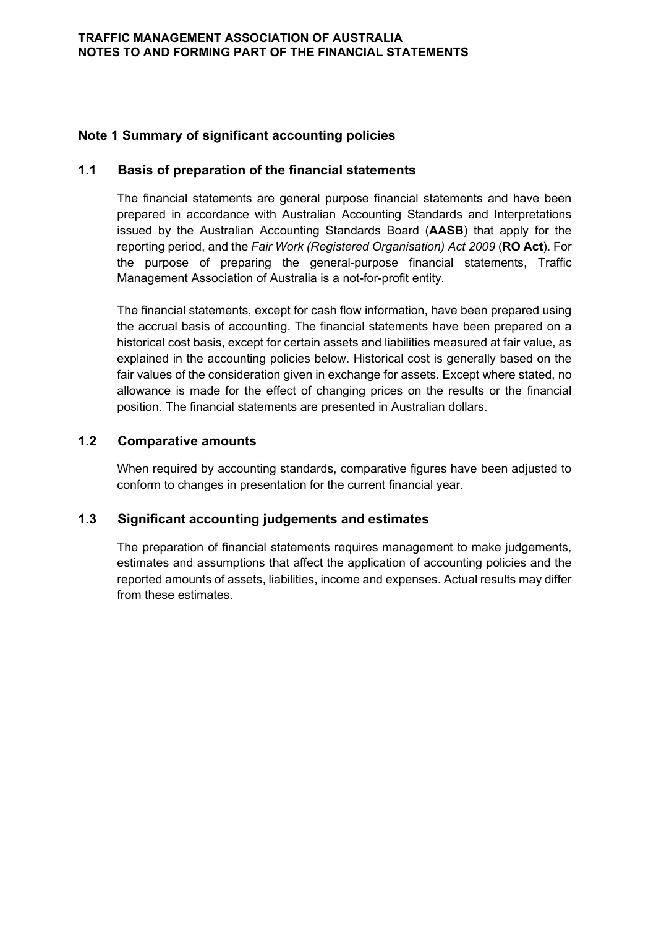# **Note 1 Summary of significant accounting policies**

# **1.1 Basis of preparation of the financial statements**

The financial statements are general purpose financial statements and have been prepared in accordance with Australian Accounting Standards and Interpretations issued by the Australian Accounting Standards Board (**AASB**) that apply for the reporting period, and the *Fair Work (Registered Organisation) Act 2009* (**RO Act**). For the purpose of preparing the general-purpose financial statements, Traffic Management Association of Australia is a not-for-profit entity.

The financial statements, except for cash flow information, have been prepared using the accrual basis of accounting. The financial statements have been prepared on a historical cost basis, except for certain assets and liabilities measured at fair value, as explained in the accounting policies below. Historical cost is generally based on the fair values of the consideration given in exchange for assets. Except where stated, no allowance is made for the effect of changing prices on the results or the financial position. The financial statements are presented in Australian dollars.

# **1.2 Comparative amounts**

When required by accounting standards, comparative figures have been adjusted to conform to changes in presentation for the current financial year.

# **1.3 Significant accounting judgements and estimates**

The preparation of financial statements requires management to make judgements, estimates and assumptions that affect the application of accounting policies and the reported amounts of assets, liabilities, income and expenses. Actual results may differ from these estimates.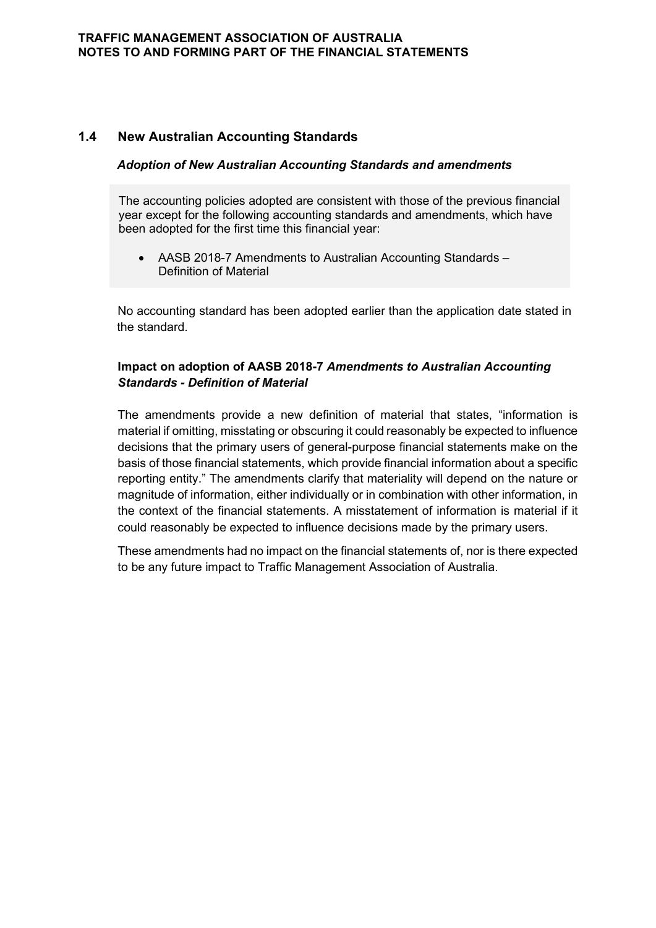# **1.4 New Australian Accounting Standards**

#### *Adoption of New Australian Accounting Standards and amendments*

The accounting policies adopted are consistent with those of the previous financial year except for the following accounting standards and amendments, which have been adopted for the first time this financial year:

• AASB 2018-7 Amendments to Australian Accounting Standards – Definition of Material

No accounting standard has been adopted earlier than the application date stated in the standard.

### **Impact on adoption of AASB 2018-7** *Amendments to Australian Accounting Standards - Definition of Material*

The amendments provide a new definition of material that states, "information is material if omitting, misstating or obscuring it could reasonably be expected to influence decisions that the primary users of general-purpose financial statements make on the basis of those financial statements, which provide financial information about a specific reporting entity." The amendments clarify that materiality will depend on the nature or magnitude of information, either individually or in combination with other information, in the context of the financial statements. A misstatement of information is material if it could reasonably be expected to influence decisions made by the primary users.

These amendments had no impact on the financial statements of, nor is there expected to be any future impact to Traffic Management Association of Australia.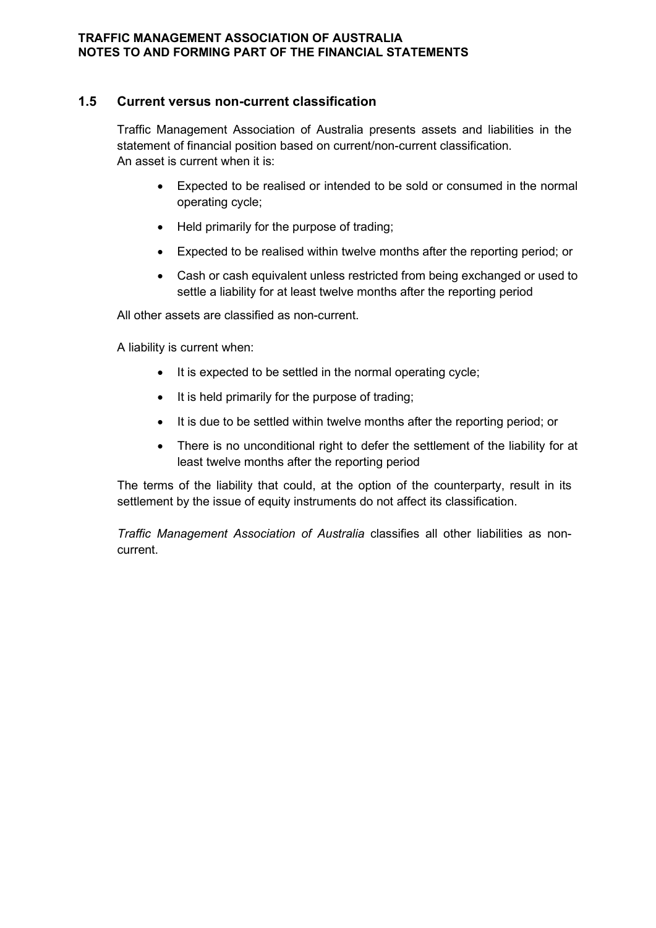## **1.5 Current versus non-current classification**

Traffic Management Association of Australia presents assets and liabilities in the statement of financial position based on current/non-current classification. An asset is current when it is:

- Expected to be realised or intended to be sold or consumed in the normal operating cycle;
- Held primarily for the purpose of trading;
- Expected to be realised within twelve months after the reporting period; or
- Cash or cash equivalent unless restricted from being exchanged or used to settle a liability for at least twelve months after the reporting period

All other assets are classified as non-current.

A liability is current when:

- It is expected to be settled in the normal operating cycle;
- It is held primarily for the purpose of trading;
- It is due to be settled within twelve months after the reporting period; or
- There is no unconditional right to defer the settlement of the liability for at least twelve months after the reporting period

The terms of the liability that could, at the option of the counterparty, result in its settlement by the issue of equity instruments do not affect its classification.

*Traffic Management Association of Australia* classifies all other liabilities as noncurrent.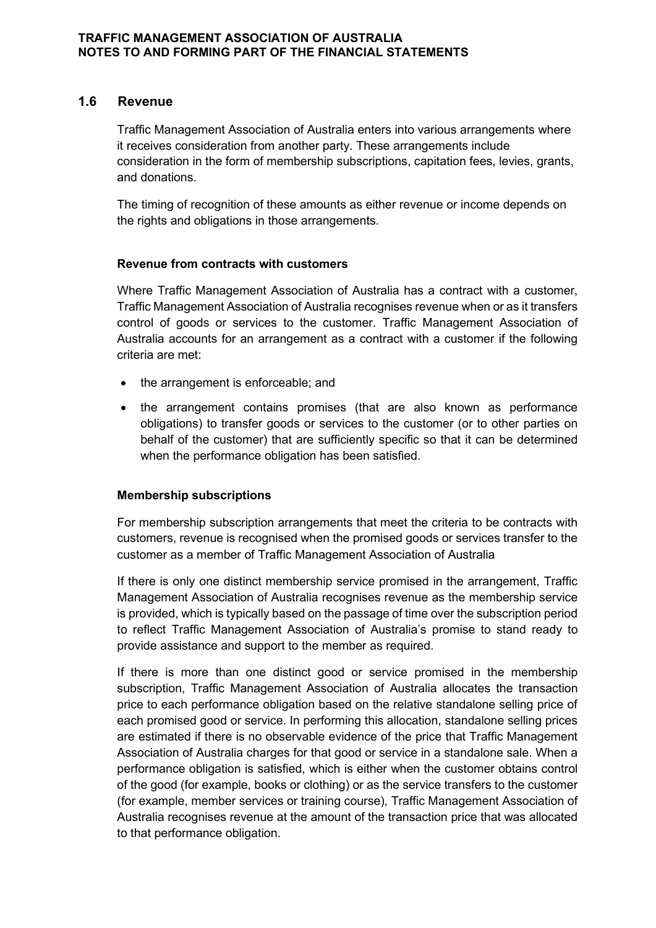#### **1.6 Revenue**

Traffic Management Association of Australia enters into various arrangements where it receives consideration from another party. These arrangements include consideration in the form of membership subscriptions, capitation fees, levies, grants, and donations.

The timing of recognition of these amounts as either revenue or income depends on the rights and obligations in those arrangements.

#### **Revenue from contracts with customers**

Where Traffic Management Association of Australia has a contract with a customer, Traffic Management Association of Australia recognises revenue when or as it transfers control of goods or services to the customer. Traffic Management Association of Australia accounts for an arrangement as a contract with a customer if the following criteria are met:

- the arrangement is enforceable; and
- the arrangement contains promises (that are also known as performance obligations) to transfer goods or services to the customer (or to other parties on behalf of the customer) that are sufficiently specific so that it can be determined when the performance obligation has been satisfied.

#### **Membership subscriptions**

For membership subscription arrangements that meet the criteria to be contracts with customers, revenue is recognised when the promised goods or services transfer to the customer as a member of Traffic Management Association of Australia

If there is only one distinct membership service promised in the arrangement, Traffic Management Association of Australia recognises revenue as the membership service is provided, which is typically based on the passage of time over the subscription period to reflect Traffic Management Association of Australia's promise to stand ready to provide assistance and support to the member as required.

If there is more than one distinct good or service promised in the membership subscription, Traffic Management Association of Australia allocates the transaction price to each performance obligation based on the relative standalone selling price of each promised good or service. In performing this allocation, standalone selling prices are estimated if there is no observable evidence of the price that Traffic Management Association of Australia charges for that good or service in a standalone sale. When a performance obligation is satisfied, which is either when the customer obtains control of the good (for example, books or clothing) or as the service transfers to the customer (for example, member services or training course), Traffic Management Association of Australia recognises revenue at the amount of the transaction price that was allocated to that performance obligation.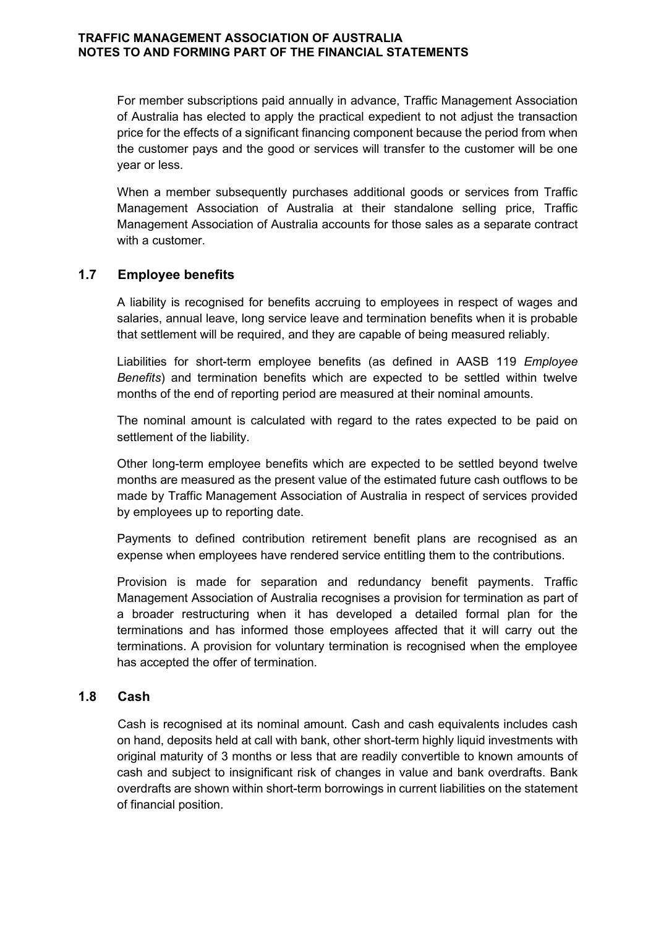For member subscriptions paid annually in advance, Traffic Management Association of Australia has elected to apply the practical expedient to not adjust the transaction price for the effects of a significant financing component because the period from when the customer pays and the good or services will transfer to the customer will be one year or less.

When a member subsequently purchases additional goods or services from Traffic Management Association of Australia at their standalone selling price, Traffic Management Association of Australia accounts for those sales as a separate contract with a customer.

# **1.7 Employee benefits**

A liability is recognised for benefits accruing to employees in respect of wages and salaries, annual leave, long service leave and termination benefits when it is probable that settlement will be required, and they are capable of being measured reliably.

Liabilities for short-term employee benefits (as defined in AASB 119 *Employee Benefits*) and termination benefits which are expected to be settled within twelve months of the end of reporting period are measured at their nominal amounts.

The nominal amount is calculated with regard to the rates expected to be paid on settlement of the liability.

Other long-term employee benefits which are expected to be settled beyond twelve months are measured as the present value of the estimated future cash outflows to be made by Traffic Management Association of Australia in respect of services provided by employees up to reporting date.

Payments to defined contribution retirement benefit plans are recognised as an expense when employees have rendered service entitling them to the contributions.

Provision is made for separation and redundancy benefit payments. Traffic Management Association of Australia recognises a provision for termination as part of a broader restructuring when it has developed a detailed formal plan for the terminations and has informed those employees affected that it will carry out the terminations. A provision for voluntary termination is recognised when the employee has accepted the offer of termination.

#### **1.8 Cash**

Cash is recognised at its nominal amount. Cash and cash equivalents includes cash on hand, deposits held at call with bank, other short-term highly liquid investments with original maturity of 3 months or less that are readily convertible to known amounts of cash and subject to insignificant risk of changes in value and bank overdrafts. Bank overdrafts are shown within short-term borrowings in current liabilities on the statement of financial position.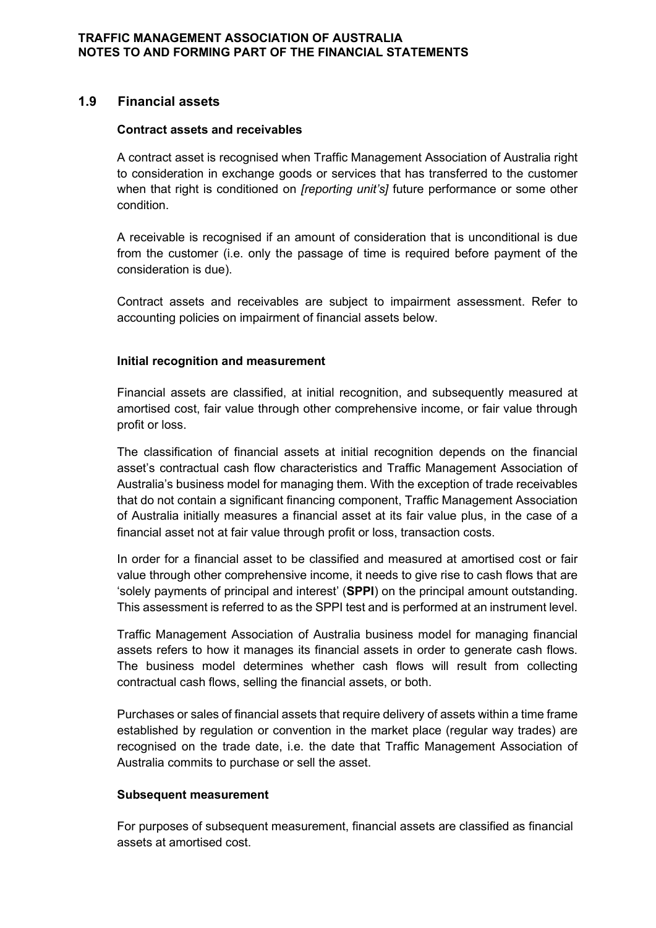# **1.9 Financial assets**

#### **Contract assets and receivables**

A contract asset is recognised when Traffic Management Association of Australia right to consideration in exchange goods or services that has transferred to the customer when that right is conditioned on *[reporting unit's]* future performance or some other condition.

A receivable is recognised if an amount of consideration that is unconditional is due from the customer (i.e. only the passage of time is required before payment of the consideration is due).

Contract assets and receivables are subject to impairment assessment. Refer to accounting policies on impairment of financial assets below.

#### **Initial recognition and measurement**

Financial assets are classified, at initial recognition, and subsequently measured at amortised cost, fair value through other comprehensive income, or fair value through profit or loss.

The classification of financial assets at initial recognition depends on the financial asset's contractual cash flow characteristics and Traffic Management Association of Australia's business model for managing them. With the exception of trade receivables that do not contain a significant financing component, Traffic Management Association of Australia initially measures a financial asset at its fair value plus, in the case of a financial asset not at fair value through profit or loss, transaction costs.

In order for a financial asset to be classified and measured at amortised cost or fair value through other comprehensive income, it needs to give rise to cash flows that are 'solely payments of principal and interest' (**SPPI**) on the principal amount outstanding. This assessment is referred to as the SPPI test and is performed at an instrument level.

Traffic Management Association of Australia business model for managing financial assets refers to how it manages its financial assets in order to generate cash flows. The business model determines whether cash flows will result from collecting contractual cash flows, selling the financial assets, or both.

Purchases or sales of financial assets that require delivery of assets within a time frame established by regulation or convention in the market place (regular way trades) are recognised on the trade date, i.e. the date that Traffic Management Association of Australia commits to purchase or sell the asset.

#### **Subsequent measurement**

For purposes of subsequent measurement, financial assets are classified as financial assets at amortised cost.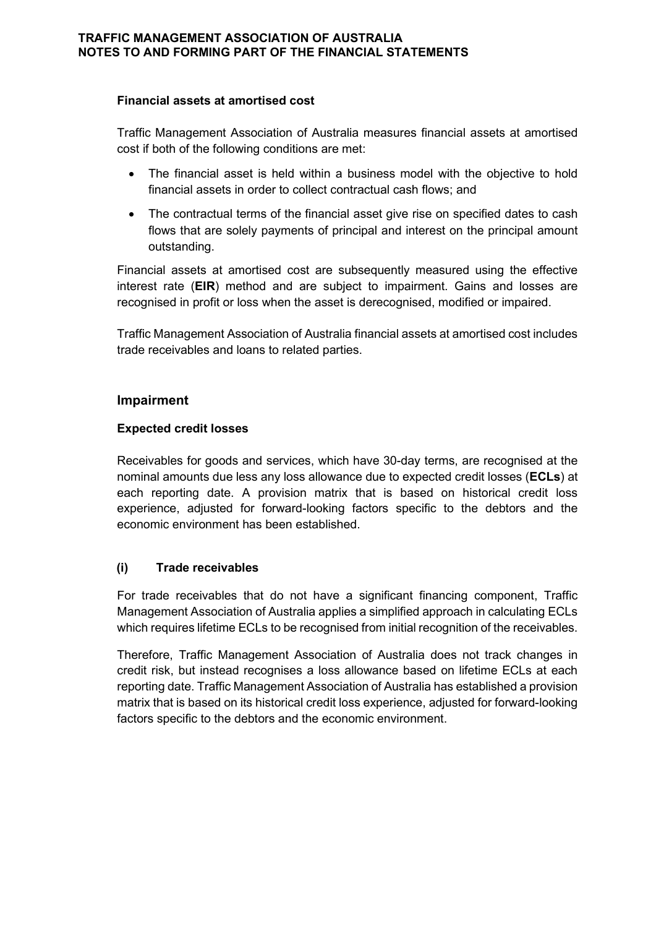#### **Financial assets at amortised cost**

Traffic Management Association of Australia measures financial assets at amortised cost if both of the following conditions are met:

- The financial asset is held within a business model with the objective to hold financial assets in order to collect contractual cash flows; and
- The contractual terms of the financial asset give rise on specified dates to cash flows that are solely payments of principal and interest on the principal amount outstanding.

Financial assets at amortised cost are subsequently measured using the effective interest rate (**EIR**) method and are subject to impairment. Gains and losses are recognised in profit or loss when the asset is derecognised, modified or impaired.

Traffic Management Association of Australia financial assets at amortised cost includes trade receivables and loans to related parties.

#### **Impairment**

#### **Expected credit losses**

Receivables for goods and services, which have 30-day terms, are recognised at the nominal amounts due less any loss allowance due to expected credit losses (**ECLs**) at each reporting date. A provision matrix that is based on historical credit loss experience, adjusted for forward-looking factors specific to the debtors and the economic environment has been established.

# **(i) Trade receivables**

For trade receivables that do not have a significant financing component, Traffic Management Association of Australia applies a simplified approach in calculating ECLs which requires lifetime ECLs to be recognised from initial recognition of the receivables.

Therefore, Traffic Management Association of Australia does not track changes in credit risk, but instead recognises a loss allowance based on lifetime ECLs at each reporting date. Traffic Management Association of Australia has established a provision matrix that is based on its historical credit loss experience, adjusted for forward-looking factors specific to the debtors and the economic environment.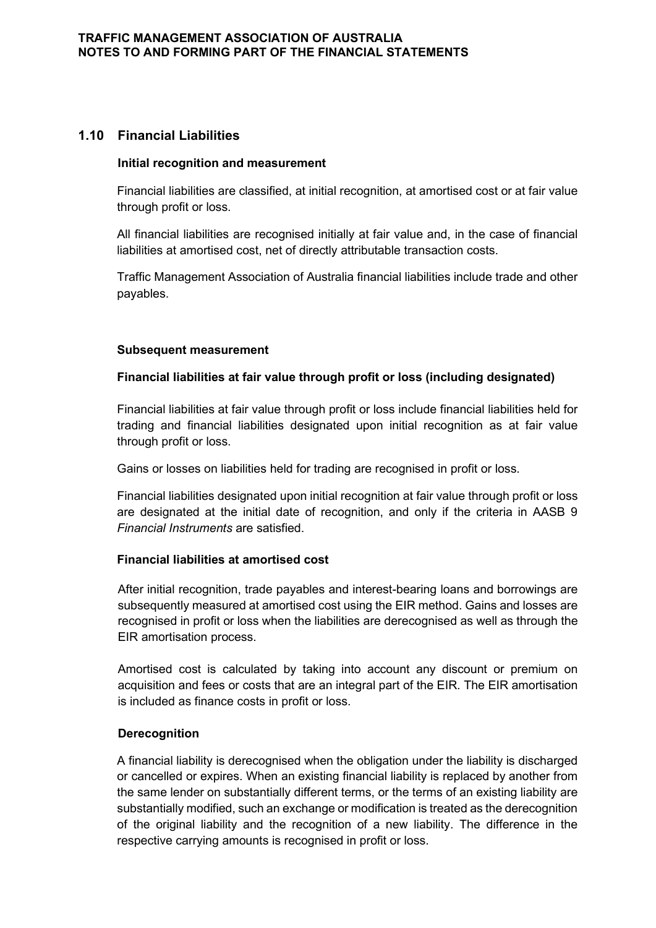# **1.10 Financial Liabilities**

#### **Initial recognition and measurement**

Financial liabilities are classified, at initial recognition, at amortised cost or at fair value through profit or loss.

All financial liabilities are recognised initially at fair value and, in the case of financial liabilities at amortised cost, net of directly attributable transaction costs.

Traffic Management Association of Australia financial liabilities include trade and other payables.

#### **Subsequent measurement**

#### **Financial liabilities at fair value through profit or loss (including designated)**

Financial liabilities at fair value through profit or loss include financial liabilities held for trading and financial liabilities designated upon initial recognition as at fair value through profit or loss.

Gains or losses on liabilities held for trading are recognised in profit or loss.

Financial liabilities designated upon initial recognition at fair value through profit or loss are designated at the initial date of recognition, and only if the criteria in AASB 9 *Financial Instruments* are satisfied.

#### **Financial liabilities at amortised cost**

After initial recognition, trade payables and interest-bearing loans and borrowings are subsequently measured at amortised cost using the EIR method. Gains and losses are recognised in profit or loss when the liabilities are derecognised as well as through the EIR amortisation process.

Amortised cost is calculated by taking into account any discount or premium on acquisition and fees or costs that are an integral part of the EIR. The EIR amortisation is included as finance costs in profit or loss.

#### **Derecognition**

A financial liability is derecognised when the obligation under the liability is discharged or cancelled or expires. When an existing financial liability is replaced by another from the same lender on substantially different terms, or the terms of an existing liability are substantially modified, such an exchange or modification is treated as the derecognition of the original liability and the recognition of a new liability. The difference in the respective carrying amounts is recognised in profit or loss.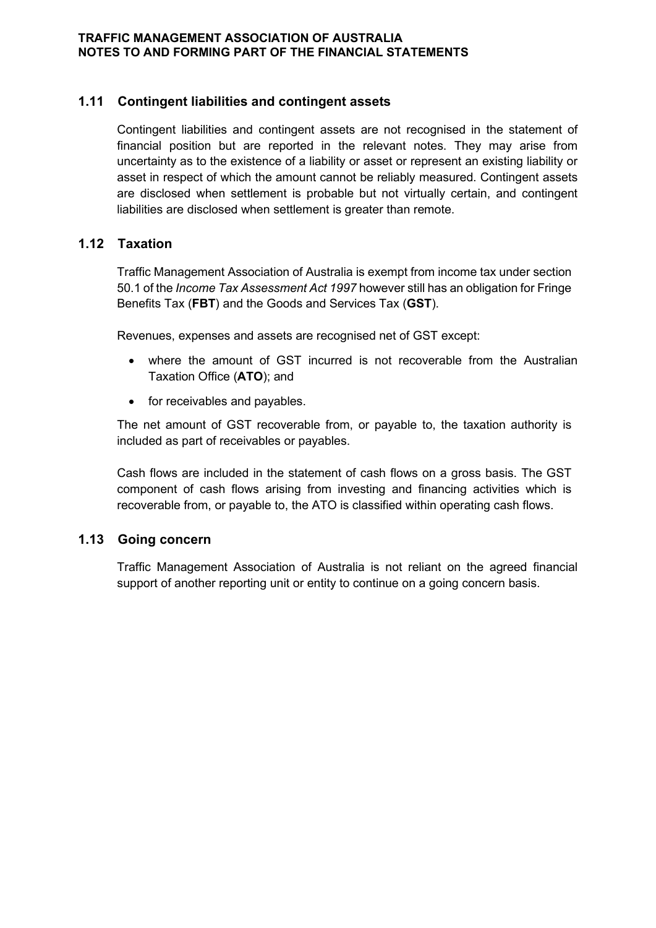# **1.11 Contingent liabilities and contingent assets**

Contingent liabilities and contingent assets are not recognised in the statement of financial position but are reported in the relevant notes. They may arise from uncertainty as to the existence of a liability or asset or represent an existing liability or asset in respect of which the amount cannot be reliably measured. Contingent assets are disclosed when settlement is probable but not virtually certain, and contingent liabilities are disclosed when settlement is greater than remote.

# **1.12 Taxation**

Traffic Management Association of Australia is exempt from income tax under section 50.1 of the *Income Tax Assessment Act 1997* however still has an obligation for Fringe Benefits Tax (**FBT**) and the Goods and Services Tax (**GST**).

Revenues, expenses and assets are recognised net of GST except:

- where the amount of GST incurred is not recoverable from the Australian Taxation Office (**ATO**); and
- for receivables and payables.

The net amount of GST recoverable from, or payable to, the taxation authority is included as part of receivables or payables.

Cash flows are included in the statement of cash flows on a gross basis. The GST component of cash flows arising from investing and financing activities which is recoverable from, or payable to, the ATO is classified within operating cash flows.

# **1.13 Going concern**

Traffic Management Association of Australia is not reliant on the agreed financial support of another reporting unit or entity to continue on a going concern basis.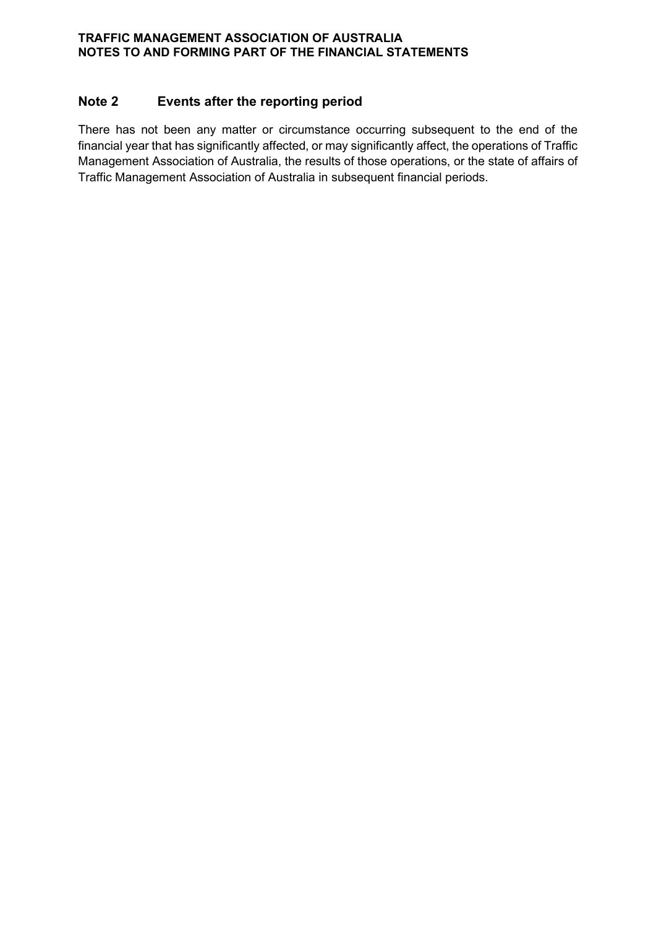# **Note 2 Events after the reporting period**

There has not been any matter or circumstance occurring subsequent to the end of the financial year that has significantly affected, or may significantly affect, the operations of Traffic Management Association of Australia, the results of those operations, or the state of affairs of Traffic Management Association of Australia in subsequent financial periods.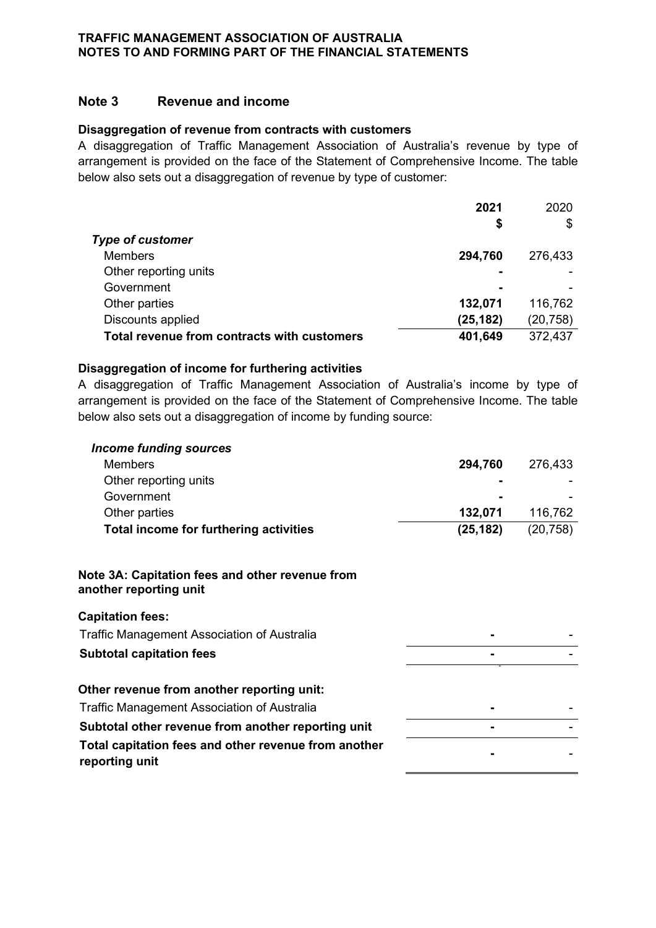## **Note 3 Revenue and income**

#### **Disaggregation of revenue from contracts with customers**

A disaggregation of Traffic Management Association of Australia's revenue by type of arrangement is provided on the face of the Statement of Comprehensive Income. The table below also sets out a disaggregation of revenue by type of customer:

|                                             | 2021      | 2020      |
|---------------------------------------------|-----------|-----------|
|                                             | \$        | \$        |
| <b>Type of customer</b>                     |           |           |
| <b>Members</b>                              | 294,760   | 276,433   |
| Other reporting units                       |           |           |
| Government                                  |           |           |
| Other parties                               | 132,071   | 116,762   |
| Discounts applied                           | (25, 182) | (20, 758) |
| Total revenue from contracts with customers | 401,649   | 372,437   |

#### **Disaggregation of income for furthering activities**

A disaggregation of Traffic Management Association of Australia's income by type of arrangement is provided on the face of the Statement of Comprehensive Income. The table below also sets out a disaggregation of income by funding source:

| <b>Income funding sources</b>                                             |           |           |
|---------------------------------------------------------------------------|-----------|-----------|
| <b>Members</b>                                                            | 294,760   | 276,433   |
| Other reporting units                                                     |           |           |
| Government                                                                |           |           |
| Other parties                                                             | 132,071   | 116,762   |
| Total income for furthering activities                                    | (25, 182) | (20, 758) |
| Note 3A: Capitation fees and other revenue from<br>another reporting unit |           |           |
| <b>Capitation fees:</b>                                                   |           |           |
| <b>Traffic Management Association of Australia</b>                        |           |           |
| <b>Subtotal capitation fees</b>                                           |           |           |
| Other revenue from another reporting unit:                                |           |           |
| <b>Traffic Management Association of Australia</b>                        |           |           |
| Subtotal other revenue from another reporting unit                        |           |           |
| Total capitation fees and other revenue from another<br>reporting unit    |           |           |
|                                                                           |           |           |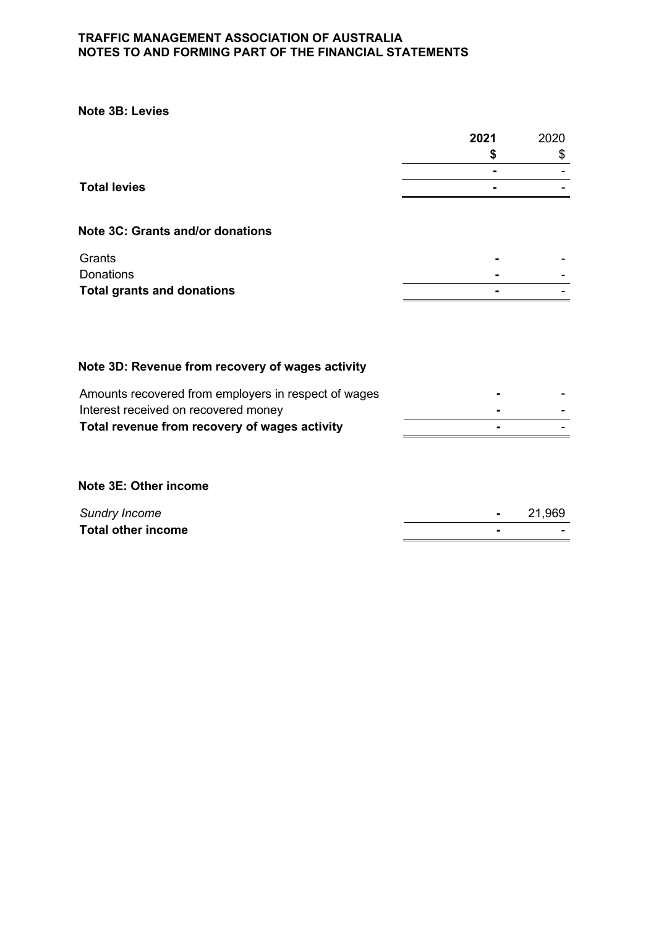**Note 3B: Levies**

|                                                      | 2021 | 2020 |
|------------------------------------------------------|------|------|
|                                                      | S    | \$   |
|                                                      |      |      |
| <b>Total levies</b>                                  |      |      |
| Note 3C: Grants and/or donations                     |      |      |
| Grants                                               |      |      |
| <b>Donations</b>                                     |      |      |
| <b>Total grants and donations</b>                    |      |      |
| Note 3D: Revenue from recovery of wages activity     |      |      |
|                                                      |      |      |
| Amounts recovered from employers in respect of wages |      |      |
| Interest received on recovered money                 |      |      |
| Total revenue from recovery of wages activity        |      |      |
|                                                      |      |      |

**Note 3E: Other income**

| <b>Total other income</b> | <b>Sundry Income</b> | 21.969 |
|---------------------------|----------------------|--------|
|                           |                      | $\sim$ |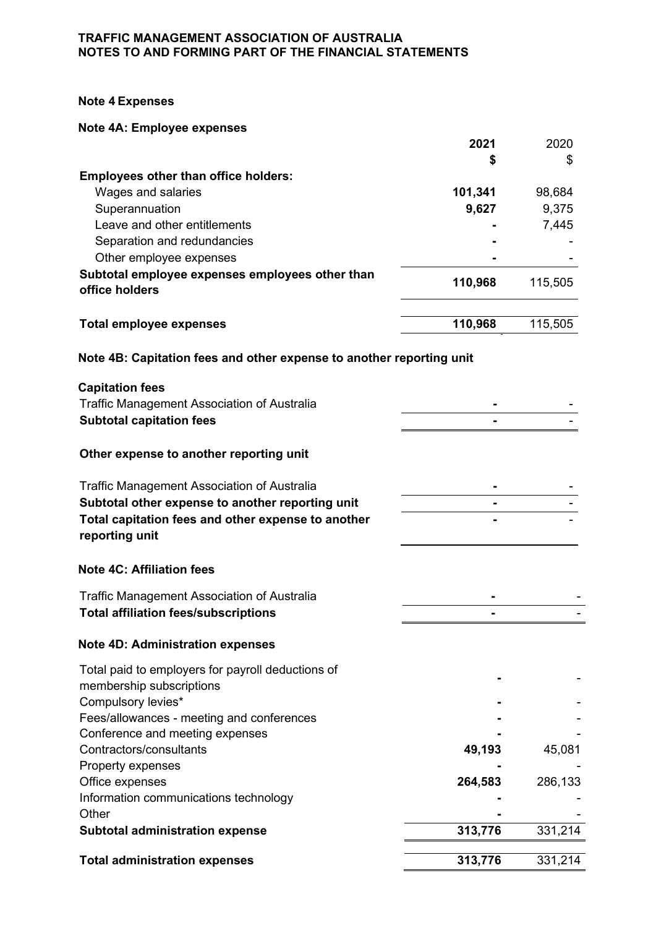#### **Note 4 Expenses**

#### **Note 4A: Employee expenses**

|                                                                   | 2021    | 2020    |
|-------------------------------------------------------------------|---------|---------|
|                                                                   | \$      | \$      |
| <b>Employees other than office holders:</b>                       |         |         |
| Wages and salaries                                                | 101,341 | 98,684  |
| Superannuation                                                    | 9,627   | 9,375   |
| Leave and other entitlements                                      |         | 7,445   |
| Separation and redundancies                                       |         |         |
| Other employee expenses                                           |         |         |
| Subtotal employee expenses employees other than<br>office holders | 110,968 | 115,505 |
|                                                                   |         |         |
| Total employee expenses                                           | 110,968 | 115,505 |

# **Note 4B: Capitation fees and other expense to another reporting unit**

| <b>Capitation fees</b>                                               |         |         |
|----------------------------------------------------------------------|---------|---------|
| <b>Traffic Management Association of Australia</b>                   |         |         |
| <b>Subtotal capitation fees</b>                                      |         |         |
| Other expense to another reporting unit                              |         |         |
| Traffic Management Association of Australia                          |         |         |
| Subtotal other expense to another reporting unit                     |         |         |
| Total capitation fees and other expense to another<br>reporting unit |         |         |
| <b>Note 4C: Affiliation fees</b>                                     |         |         |
| <b>Traffic Management Association of Australia</b>                   |         |         |
| <b>Total affiliation fees/subscriptions</b>                          |         |         |
| <b>Note 4D: Administration expenses</b>                              |         |         |
| Total paid to employers for payroll deductions of                    |         |         |
| membership subscriptions                                             |         |         |
| Compulsory levies*                                                   |         |         |
| Fees/allowances - meeting and conferences                            |         |         |
| Conference and meeting expenses                                      |         |         |
| Contractors/consultants                                              | 49,193  | 45,081  |
| Property expenses                                                    |         |         |
| Office expenses                                                      | 264,583 | 286,133 |
| Information communications technology                                |         |         |
| Other                                                                |         |         |
| <b>Subtotal administration expense</b>                               | 313,776 | 331,214 |
| <b>Total administration expenses</b>                                 | 313,776 | 331,214 |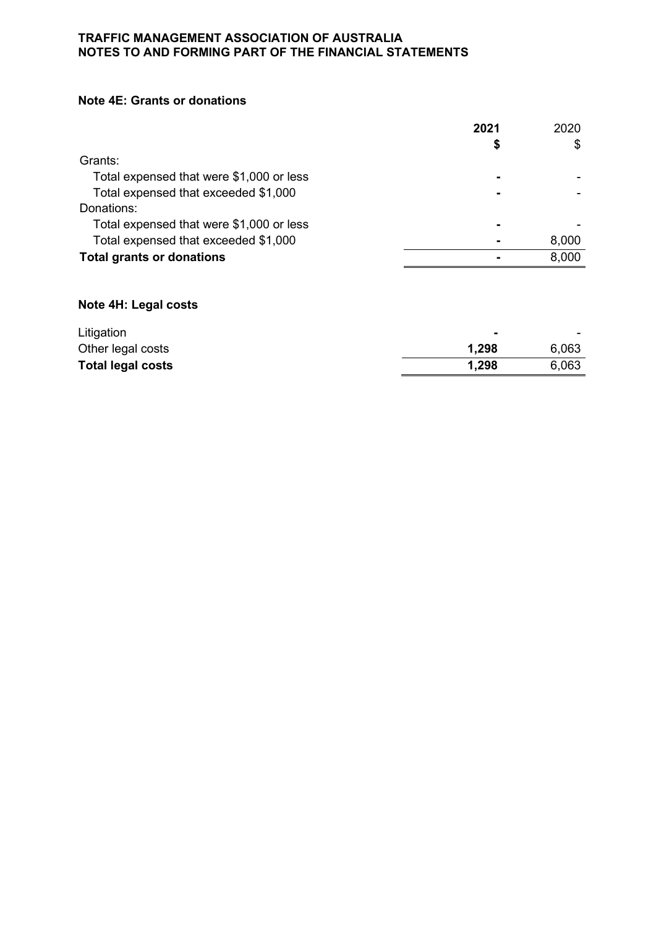#### **Note 4E: Grants or donations**

|                                          | 2021 | 2020  |
|------------------------------------------|------|-------|
|                                          | S    | \$    |
| Grants:                                  |      |       |
| Total expensed that were \$1,000 or less |      |       |
| Total expensed that exceeded \$1,000     |      |       |
| Donations:                               |      |       |
| Total expensed that were \$1,000 or less |      |       |
| Total expensed that exceeded \$1,000     |      | 8,000 |
| <b>Total grants or donations</b>         |      | 8,000 |

# **Note 4H: Legal costs**

| Litigation               |       | $\overline{\phantom{a}}$ |
|--------------------------|-------|--------------------------|
| Other legal costs        | 1,298 | 6,063                    |
| <b>Total legal costs</b> | 1,298 | 6,063                    |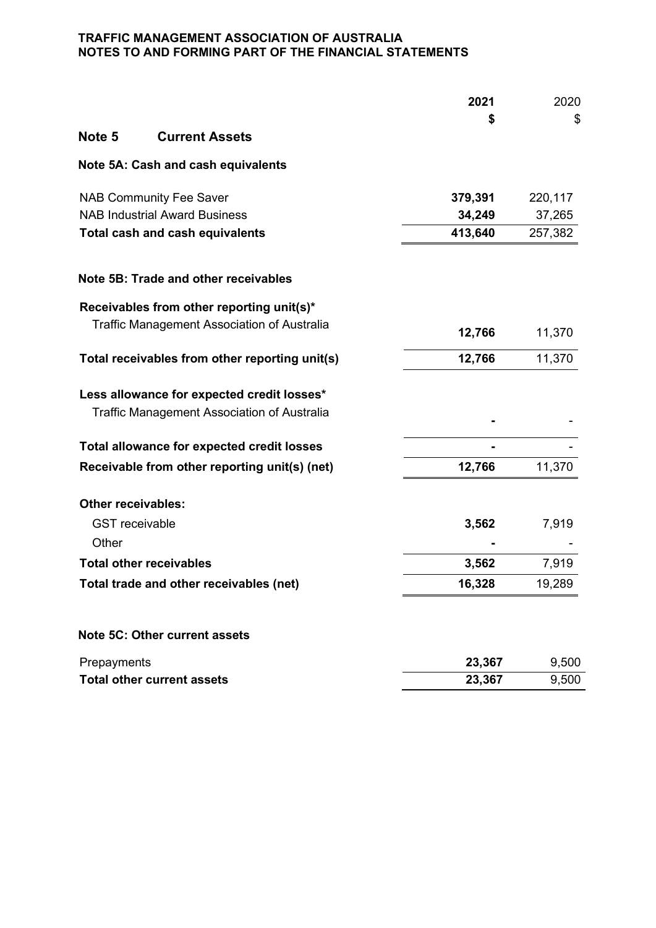|                           |                                                    | 2021    | 2020    |
|---------------------------|----------------------------------------------------|---------|---------|
|                           |                                                    | \$      | \$      |
| Note 5                    | <b>Current Assets</b>                              |         |         |
|                           | Note 5A: Cash and cash equivalents                 |         |         |
|                           | <b>NAB Community Fee Saver</b>                     | 379,391 | 220,117 |
|                           | <b>NAB Industrial Award Business</b>               | 34,249  | 37,265  |
|                           | <b>Total cash and cash equivalents</b>             | 413,640 | 257,382 |
|                           | Note 5B: Trade and other receivables               |         |         |
|                           | Receivables from other reporting unit(s)*          |         |         |
|                           | Traffic Management Association of Australia        | 12,766  | 11,370  |
|                           | Total receivables from other reporting unit(s)     | 12,766  | 11,370  |
|                           | Less allowance for expected credit losses*         |         |         |
|                           | <b>Traffic Management Association of Australia</b> |         |         |
|                           | Total allowance for expected credit losses         |         |         |
|                           | Receivable from other reporting unit(s) (net)      | 12,766  | 11,370  |
| <b>Other receivables:</b> |                                                    |         |         |
| <b>GST</b> receivable     |                                                    | 3,562   | 7,919   |
| Other                     |                                                    |         |         |
|                           | <b>Total other receivables</b>                     | 3,562   | 7,919   |
|                           | Total trade and other receivables (net)            | 16,328  | 19,289  |
|                           | Note 5C: Other current assets                      |         |         |
| Prepayments               |                                                    | 23,367  | 9,500   |
|                           | <b>Total other current assets</b>                  | 23,367  | 9,500   |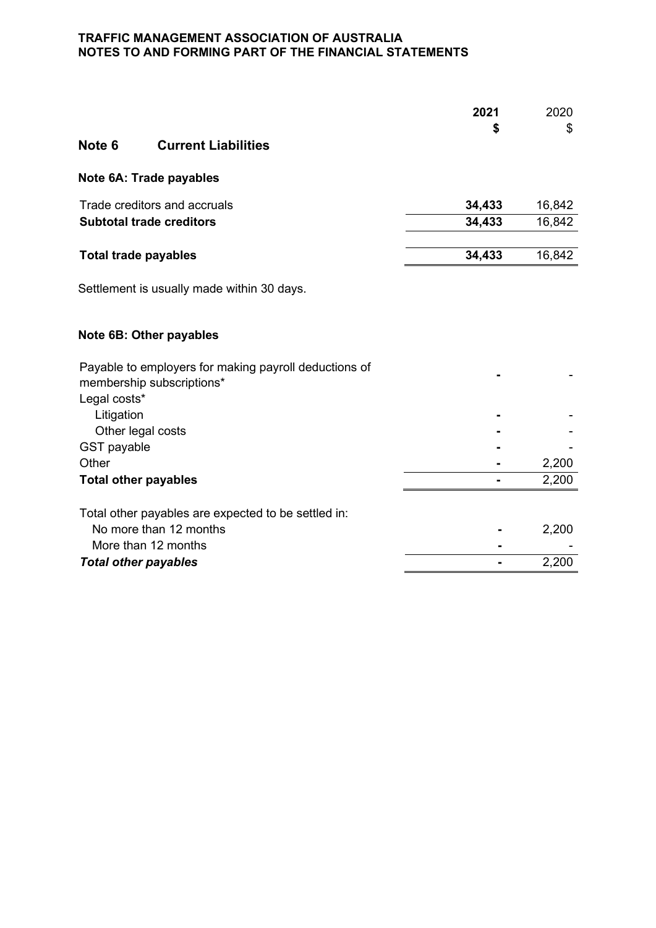| Note 6                      | <b>Current Liabilities</b>      | 2021<br>\$ | 2020<br>\$ |
|-----------------------------|---------------------------------|------------|------------|
|                             | Note 6A: Trade payables         |            |            |
|                             | Trade creditors and accruals    | 34,433     | 16,842     |
|                             | <b>Subtotal trade creditors</b> | 34,433     | 16,842     |
|                             |                                 |            |            |
| <b>Total trade payables</b> |                                 | 34,433     | 16,842     |

Settlement is usually made within 30 days.

# **Note 6B: Other payables**

| Payable to employers for making payroll deductions of<br>membership subscriptions* |       |
|------------------------------------------------------------------------------------|-------|
| Legal costs*                                                                       |       |
| Litigation                                                                         |       |
| Other legal costs                                                                  |       |
| <b>GST</b> payable                                                                 |       |
| Other                                                                              | 2,200 |
| <b>Total other payables</b>                                                        | 2,200 |
| Total other payables are expected to be settled in:                                |       |
| No more than 12 months                                                             | 2,200 |
| More than 12 months                                                                |       |
| <b>Total other payables</b>                                                        | 2,200 |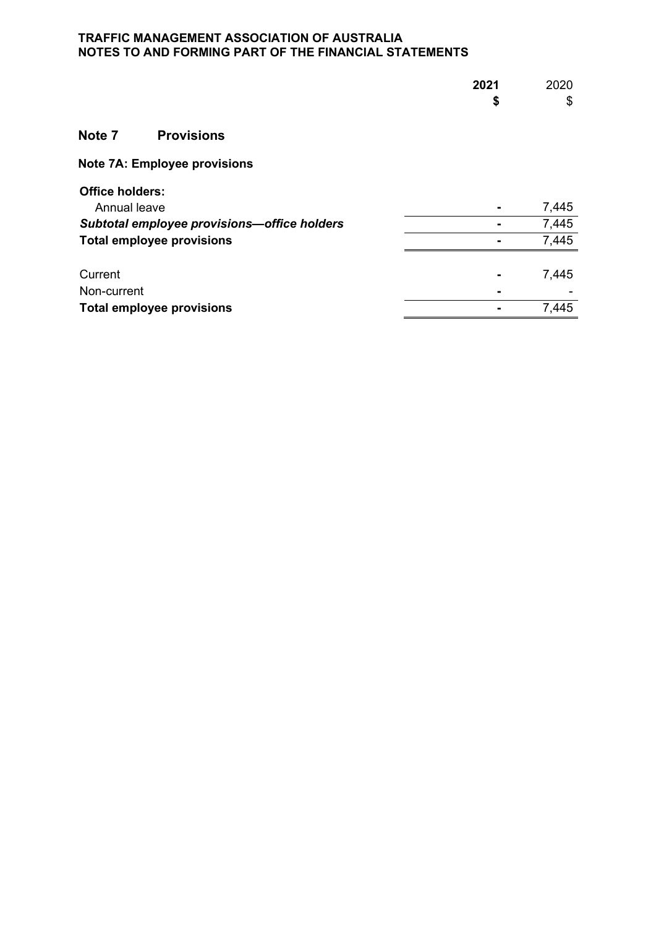|                                             | 2021 | 2020  |
|---------------------------------------------|------|-------|
|                                             | \$   | \$    |
| Note 7<br><b>Provisions</b>                 |      |       |
|                                             |      |       |
| Note 7A: Employee provisions                |      |       |
| <b>Office holders:</b>                      |      |       |
| Annual leave                                |      | 7,445 |
| Subtotal employee provisions-office holders |      | 7,445 |
| <b>Total employee provisions</b>            |      | 7,445 |
| Current                                     |      | 7,445 |
| Non-current                                 |      |       |
| <b>Total employee provisions</b>            |      | 7,445 |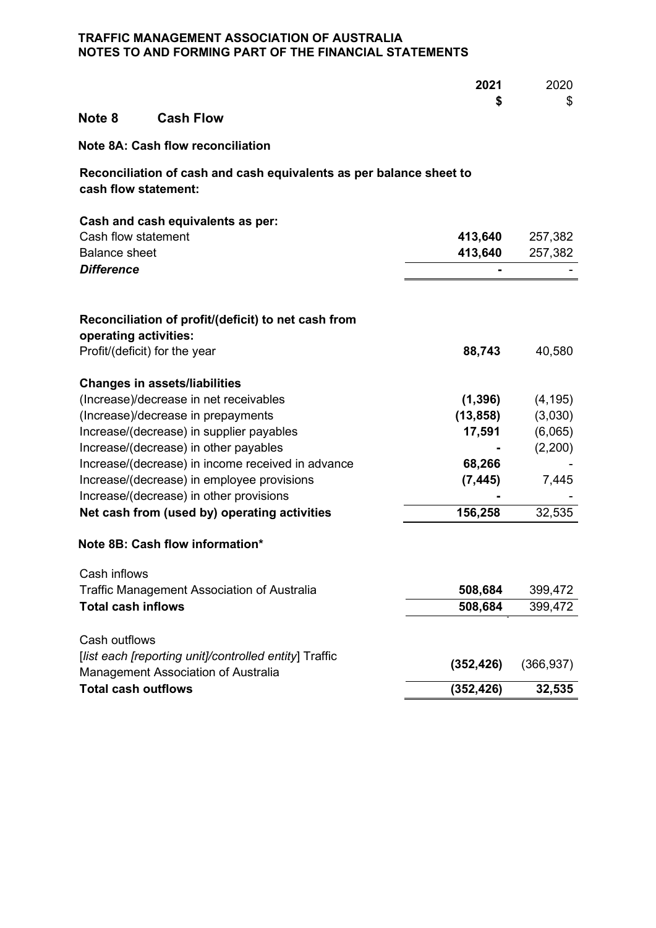|                                                                                             | 2021       | 2020       |
|---------------------------------------------------------------------------------------------|------------|------------|
| <b>Cash Flow</b><br>Note <sub>8</sub>                                                       | \$         | \$         |
| <b>Note 8A: Cash flow reconciliation</b>                                                    |            |            |
| Reconciliation of cash and cash equivalents as per balance sheet to<br>cash flow statement: |            |            |
| Cash and cash equivalents as per:                                                           |            |            |
| Cash flow statement                                                                         | 413,640    | 257,382    |
| <b>Balance sheet</b>                                                                        | 413,640    | 257,382    |
| <b>Difference</b>                                                                           |            |            |
| Reconciliation of profit/(deficit) to net cash from<br>operating activities:                |            |            |
| Profit/(deficit) for the year                                                               |            |            |
|                                                                                             | 88,743     | 40,580     |
| <b>Changes in assets/liabilities</b>                                                        |            |            |
| (Increase)/decrease in net receivables                                                      | (1, 396)   | (4, 195)   |
| (Increase)/decrease in prepayments                                                          | (13, 858)  | (3,030)    |
| Increase/(decrease) in supplier payables                                                    | 17,591     | (6,065)    |
| Increase/(decrease) in other payables                                                       |            | (2,200)    |
| Increase/(decrease) in income received in advance                                           | 68,266     |            |
| Increase/(decrease) in employee provisions                                                  | (7, 445)   | 7,445      |
| Increase/(decrease) in other provisions                                                     |            |            |
| Net cash from (used by) operating activities                                                | 156,258    | 32,535     |
| Note 8B: Cash flow information*                                                             |            |            |
| Cash inflows                                                                                |            |            |
| Traffic Management Association of Australia                                                 | 508,684    | 399,472    |
| <b>Total cash inflows</b>                                                                   | 508,684    | 399,472    |
|                                                                                             |            |            |
| Cash outflows                                                                               |            |            |
| [list each [reporting unit]/controlled entity] Traffic                                      | (352, 426) | (366, 937) |
| <b>Management Association of Australia</b>                                                  |            |            |
| <b>Total cash outflows</b>                                                                  | (352, 426) | 32,535     |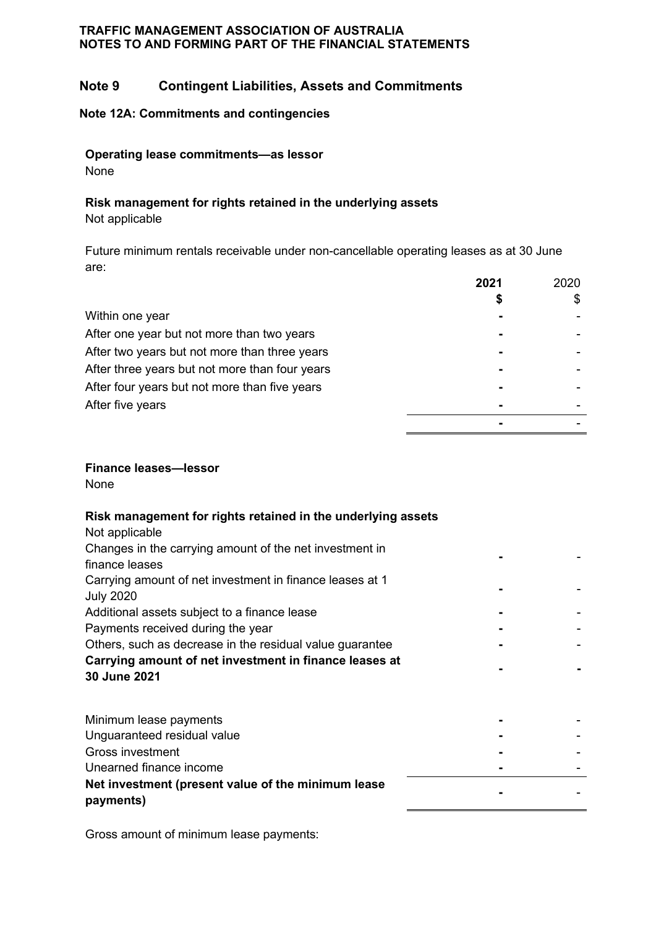# **Note 9 Contingent Liabilities, Assets and Commitments**

#### **Note 12A: Commitments and contingencies**

**Operating lease commitments—as lessor**

None

#### **Risk management for rights retained in the underlying assets**

Not applicable

Future minimum rentals receivable under non-cancellable operating leases as at 30 June are:

|                                                | 2021 | 2020 |
|------------------------------------------------|------|------|
|                                                |      |      |
| Within one year                                |      |      |
| After one year but not more than two years     |      |      |
| After two years but not more than three years  |      |      |
| After three years but not more than four years |      |      |
| After four years but not more than five years  |      |      |
| After five years                               |      |      |
|                                                |      |      |

# **Finance leases—lessor**

None

# **Risk management for rights retained in the underlying assets**

| Not applicable                                                               |  |
|------------------------------------------------------------------------------|--|
| Changes in the carrying amount of the net investment in                      |  |
| finance leases                                                               |  |
| Carrying amount of net investment in finance leases at 1<br><b>July 2020</b> |  |
| Additional assets subject to a finance lease                                 |  |
| Payments received during the year                                            |  |
| Others, such as decrease in the residual value guarantee                     |  |
| Carrying amount of net investment in finance leases at<br>30 June 2021       |  |
| Minimum lease payments                                                       |  |
| Unguaranteed residual value                                                  |  |
| <b>Gross investment</b>                                                      |  |
| Unearned finance income                                                      |  |

**Net investment (present value of the minimum lease payments) -** -

Gross amount of minimum lease payments: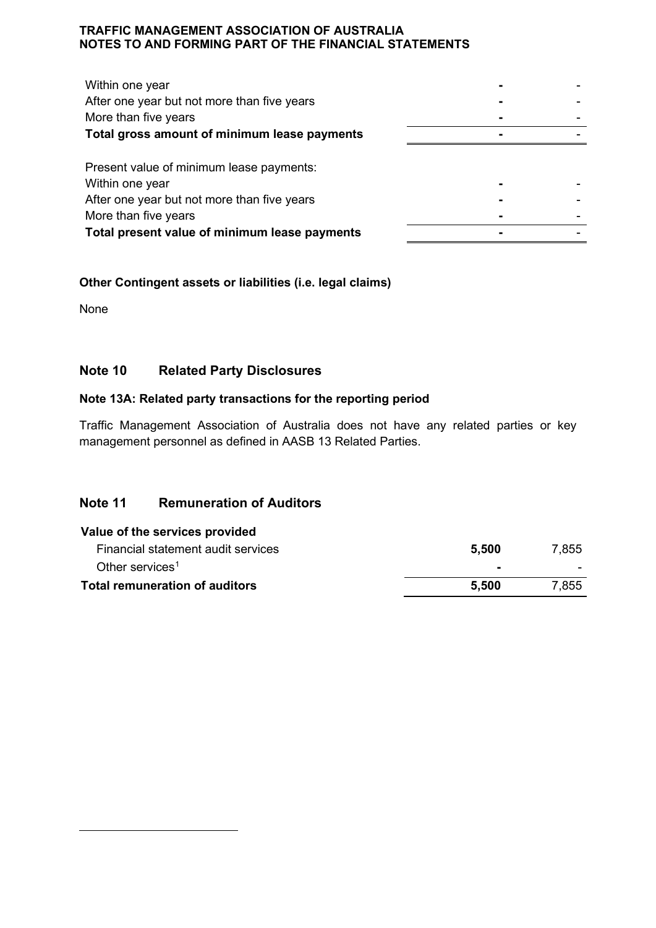| Within one year                               |  |
|-----------------------------------------------|--|
| After one year but not more than five years   |  |
| More than five years                          |  |
| Total gross amount of minimum lease payments  |  |
| Present value of minimum lease payments:      |  |
| Within one year                               |  |
| After one year but not more than five years   |  |
| More than five years                          |  |
| Total present value of minimum lease payments |  |

# **Other Contingent assets or liabilities (i.e. legal claims)**

None

# **Note 10 Related Party Disclosures**

#### **Note 13A: Related party transactions for the reporting period**

Traffic Management Association of Australia does not have any related parties or key management personnel as defined in AASB 13 Related Parties.

# **Note 11 Remuneration of Auditors**

<span id="page-39-0"></span>

| Value of the services provided     |                |       |
|------------------------------------|----------------|-------|
| Financial statement audit services | 5.500          | 7,855 |
| Other services <sup>1</sup>        | $\blacksquare$ |       |
| Total remuneration of auditors     | 5.500          | 7,855 |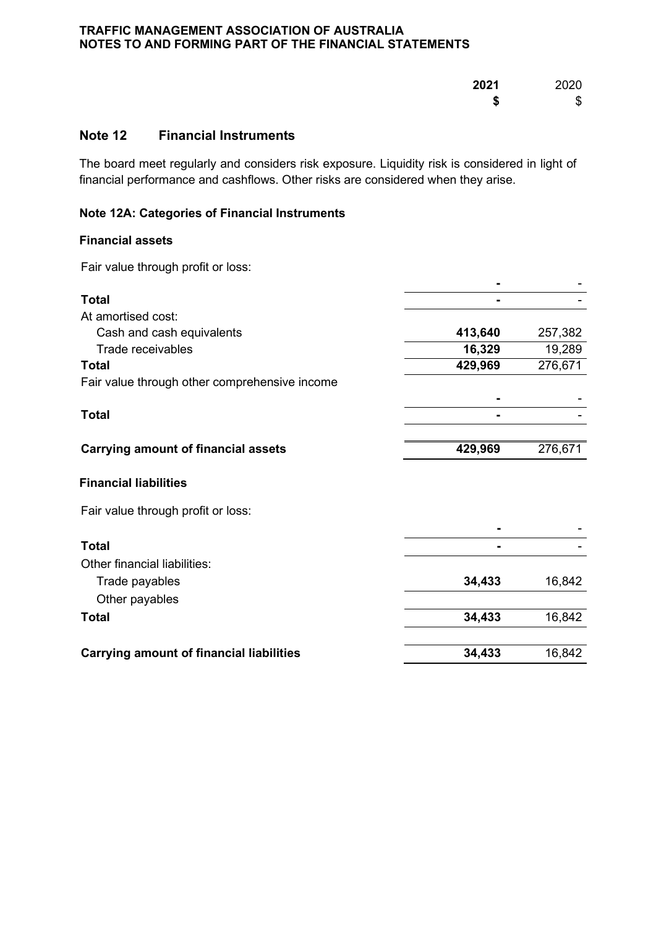| 2021 | 2020 |
|------|------|
| S    | S    |

# **Note 12 Financial Instruments**

The board meet regularly and considers risk exposure. Liquidity risk is considered in light of financial performance and cashflows. Other risks are considered when they arise.

# **Note 12A: Categories of Financial Instruments**

#### **Financial assets**

Fair value through profit or loss:

| <b>Total</b>                                    |         |         |
|-------------------------------------------------|---------|---------|
| At amortised cost:                              |         |         |
| Cash and cash equivalents                       | 413,640 | 257,382 |
| Trade receivables                               | 16,329  | 19,289  |
| <b>Total</b>                                    | 429,969 | 276,671 |
| Fair value through other comprehensive income   |         |         |
|                                                 |         |         |
| <b>Total</b>                                    |         |         |
| <b>Carrying amount of financial assets</b>      | 429,969 | 276,671 |
| <b>Financial liabilities</b>                    |         |         |
| Fair value through profit or loss:              |         |         |
|                                                 |         |         |
| <b>Total</b>                                    |         |         |
| Other financial liabilities:                    |         |         |
| Trade payables                                  | 34,433  | 16,842  |
| Other payables                                  |         |         |
| Total                                           | 34,433  | 16,842  |
| <b>Carrying amount of financial liabilities</b> | 34,433  | 16,842  |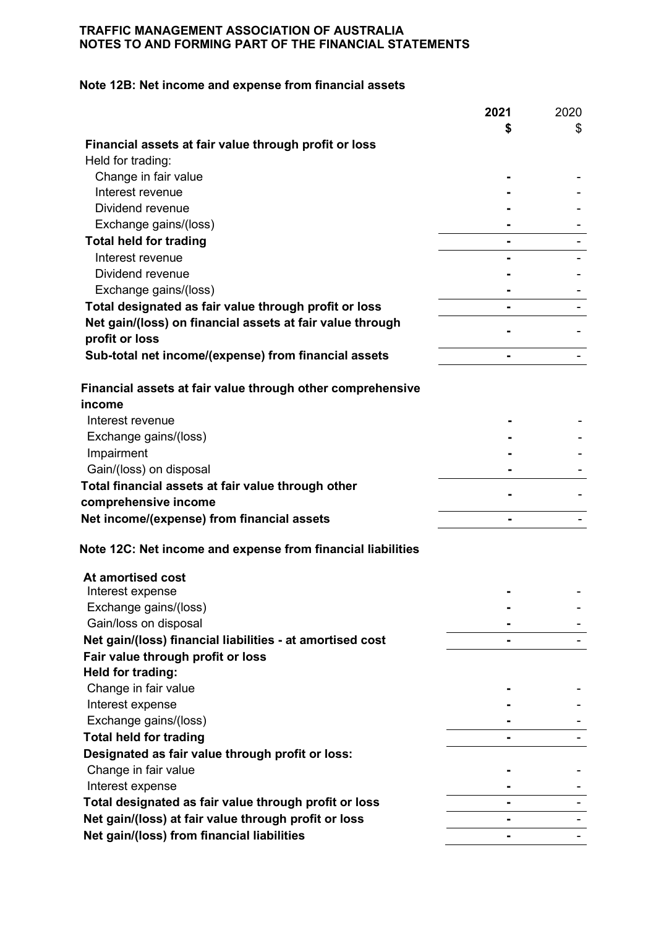# **Note 12B: Net income and expense from financial assets**

|                                                             | 2021           | 2020 |
|-------------------------------------------------------------|----------------|------|
|                                                             | \$             | \$   |
| Financial assets at fair value through profit or loss       |                |      |
| Held for trading:                                           |                |      |
| Change in fair value                                        |                |      |
| Interest revenue                                            |                |      |
| Dividend revenue                                            |                |      |
| Exchange gains/(loss)                                       |                |      |
| <b>Total held for trading</b>                               |                |      |
| Interest revenue                                            |                |      |
| Dividend revenue                                            |                |      |
| Exchange gains/(loss)                                       |                |      |
| Total designated as fair value through profit or loss       |                |      |
| Net gain/(loss) on financial assets at fair value through   |                |      |
| profit or loss                                              |                |      |
| Sub-total net income/(expense) from financial assets        | $\blacksquare$ |      |
| Financial assets at fair value through other comprehensive  |                |      |
| income                                                      |                |      |
| Interest revenue                                            |                |      |
| Exchange gains/(loss)                                       |                |      |
| Impairment                                                  |                |      |
| Gain/(loss) on disposal                                     |                |      |
| Total financial assets at fair value through other          |                |      |
| comprehensive income                                        |                |      |
| Net income/(expense) from financial assets                  |                |      |
| Note 12C: Net income and expense from financial liabilities |                |      |
| At amortised cost                                           |                |      |
| Interest expense                                            |                |      |
| Exchange gains/(loss)                                       |                |      |
| Gain/loss on disposal                                       |                |      |
| Net gain/(loss) financial liabilities - at amortised cost   |                |      |
| Fair value through profit or loss                           |                |      |
| Held for trading:                                           |                |      |
| Change in fair value                                        |                |      |
| Interest expense                                            |                |      |
| Exchange gains/(loss)                                       |                |      |
| <b>Total held for trading</b>                               |                |      |
| Designated as fair value through profit or loss:            |                |      |
| Change in fair value                                        |                |      |
| Interest expense                                            |                |      |
| Total designated as fair value through profit or loss       |                |      |
| Net gain/(loss) at fair value through profit or loss        |                |      |
| Net gain/(loss) from financial liabilities                  |                |      |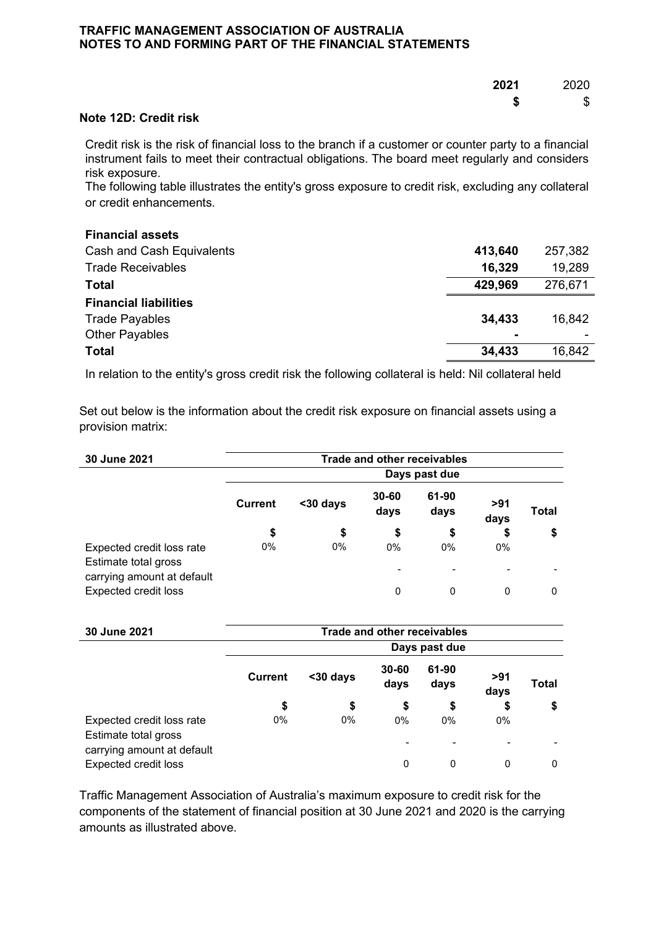| 2021 2020            |
|----------------------|
| \$<br>$\mathfrak{s}$ |

#### **Note 12D: Credit risk**

Credit risk is the risk of financial loss to the branch if a customer or counter party to a financial instrument fails to meet their contractual obligations. The board meet regularly and considers risk exposure.

The following table illustrates the entity's gross exposure to credit risk, excluding any collateral or credit enhancements.

#### **Financial assets**

| Cash and Cash Equivalents    | 413,640        | 257,382 |
|------------------------------|----------------|---------|
| <b>Trade Receivables</b>     | 16,329         | 19,289  |
| <b>Total</b>                 | 429,969        | 276,671 |
| <b>Financial liabilities</b> |                |         |
| <b>Trade Payables</b>        | 34.433         | 16.842  |
| <b>Other Payables</b>        | $\blacksquare$ |         |
| <b>Total</b>                 | 34,433         | 16,842  |

In relation to the entity's gross credit risk the following collateral is held: Nil collateral held

Set out below is the information about the credit risk exposure on financial assets using a provision matrix:

| 30 June 2021                                              | <b>Trade and other receivables</b> |          |                               |               |                                   |       |  |  |
|-----------------------------------------------------------|------------------------------------|----------|-------------------------------|---------------|-----------------------------------|-------|--|--|
|                                                           | Days past due                      |          |                               |               |                                   |       |  |  |
|                                                           | <b>Current</b>                     | <30 days | $30 - 60$<br>days             | 61-90<br>days | >91<br>days                       | Total |  |  |
|                                                           | \$                                 | \$       | \$                            | \$            | \$                                | \$    |  |  |
| Expected credit loss rate<br>Estimate total gross         | 0%                                 | 0%       | $0\%$                         | $0\%$         | $0\%$                             |       |  |  |
| carrying amount at default<br><b>Expected credit loss</b> |                                    |          | $\overline{\phantom{a}}$<br>0 | 0             | $\qquad \qquad \blacksquare$<br>0 | 0     |  |  |

| 30 June 2021                                              | <b>Trade and other receivables</b> |          |                   |               |             |       |  |  |
|-----------------------------------------------------------|------------------------------------|----------|-------------------|---------------|-------------|-------|--|--|
|                                                           | Days past due                      |          |                   |               |             |       |  |  |
|                                                           | <b>Current</b>                     | <30 days | $30 - 60$<br>days | 61-90<br>days | >91<br>days | Total |  |  |
|                                                           | \$                                 | \$       | \$                | \$            | \$          | \$    |  |  |
| Expected credit loss rate<br>Estimate total gross         | 0%                                 | 0%       | 0%                | 0%            | $0\%$       |       |  |  |
| carrying amount at default<br><b>Expected credit loss</b> |                                    |          | 0                 | 0             | 0           | 0     |  |  |

Traffic Management Association of Australia's maximum exposure to credit risk for the components of the statement of financial position at 30 June 2021 and 2020 is the carrying amounts as illustrated above.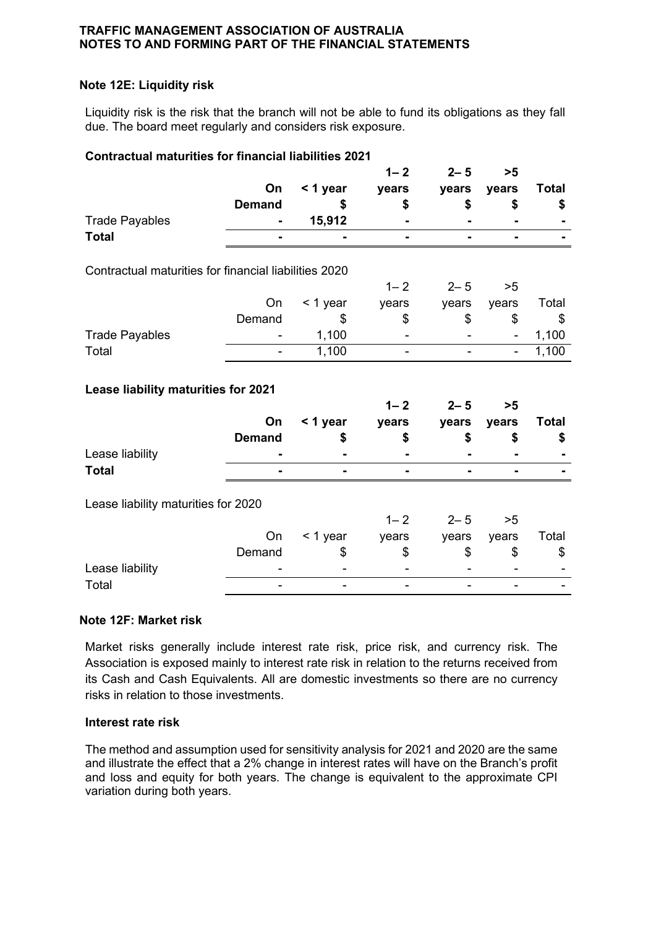### **Note 12E: Liquidity risk**

Liquidity risk is the risk that the branch will not be able to fund its obligations as they fall due. The board meet regularly and considers risk exposure.

#### **Contractual maturities for financial liabilities 2021**

|                                                       |               |          | $1 - 2$        | $2 - 5$        | >5             |              |
|-------------------------------------------------------|---------------|----------|----------------|----------------|----------------|--------------|
|                                                       | On            | < 1 year | years          | years          | years          | <b>Total</b> |
|                                                       | <b>Demand</b> | \$       | \$             | \$             | \$             | \$           |
| <b>Trade Payables</b>                                 |               | 15,912   |                |                |                |              |
| <b>Total</b>                                          |               |          |                | $\blacksquare$ | -              |              |
| Contractual maturities for financial liabilities 2020 |               |          |                |                |                |              |
|                                                       |               |          | $1 - 2$        | $2 - 5$        | >5             |              |
|                                                       | On            | < 1 year | years          | years          | years          | Total        |
|                                                       | Demand        | \$       | \$             | \$             | \$             | \$           |
| <b>Trade Payables</b>                                 |               | 1,100    |                |                | ۰              | 1,100        |
| Total                                                 |               | 1,100    | $\blacksquare$ |                | $\blacksquare$ | 1,100        |
|                                                       |               |          |                |                |                |              |
| Lease liability maturities for 2021                   |               |          | $1 - 2$        | $2 - 5$        | >5             |              |
|                                                       | On            | < 1 year | years          | years          | years          | <b>Total</b> |
|                                                       | <b>Demand</b> | \$       | \$             | \$             | \$             | \$           |
| Lease liability                                       |               |          |                |                |                |              |
| <b>Total</b>                                          |               |          |                |                |                |              |
| Lease liability maturities for 2020                   |               |          |                |                |                |              |
|                                                       |               |          | $1 - 2$        | $2 - 5$        | >5             |              |
|                                                       | On            | < 1 year | years          | years          | years          | Total        |
|                                                       | Demand        | \$       | \$             | \$             | \$             | \$           |
| Lease liability                                       |               |          |                |                |                |              |
| Total                                                 |               |          |                |                |                |              |

#### **Note 12F: Market risk**

Market risks generally include interest rate risk, price risk, and currency risk. The Association is exposed mainly to interest rate risk in relation to the returns received from its Cash and Cash Equivalents. All are domestic investments so there are no currency risks in relation to those investments.

#### **Interest rate risk**

The method and assumption used for sensitivity analysis for 2021 and 2020 are the same and illustrate the effect that a 2% change in interest rates will have on the Branch's profit and loss and equity for both years. The change is equivalent to the approximate CPI variation during both years.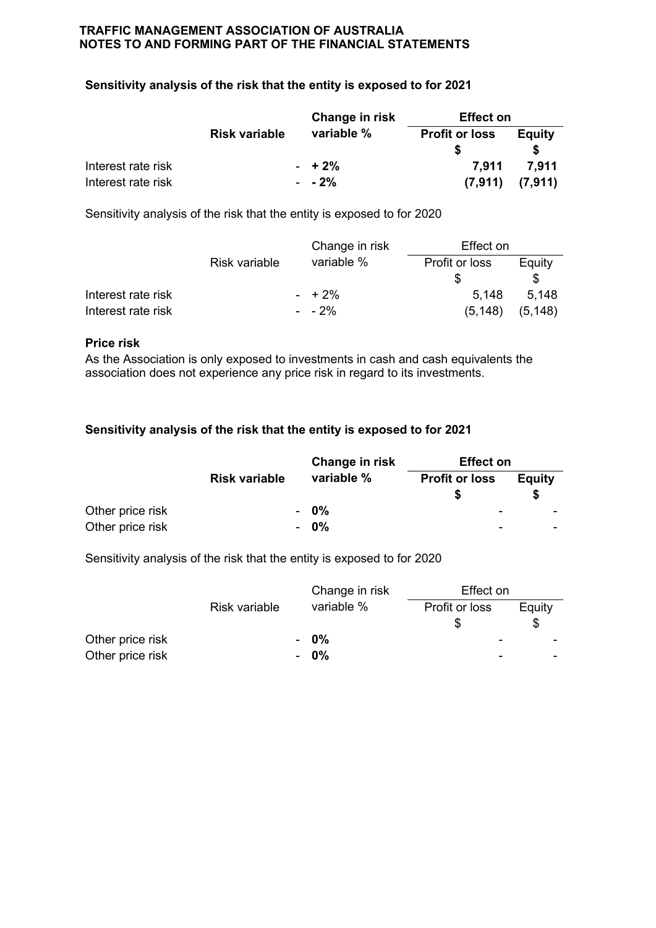### **Sensitivity analysis of the risk that the entity is exposed to for 2021**

|                    |                      | Change in risk | <b>Effect on</b>      |               |  |
|--------------------|----------------------|----------------|-----------------------|---------------|--|
|                    | <b>Risk variable</b> | variable %     | <b>Profit or loss</b> | <b>Equity</b> |  |
| Interest rate risk |                      | $- + 2\%$      | 7.911                 | 7.911         |  |
| Interest rate risk |                      | $- 2\%$        | (7, 911)              | (7,911)       |  |

Sensitivity analysis of the risk that the entity is exposed to for 2020

|                    |               | Change in risk | Effect on      |          |
|--------------------|---------------|----------------|----------------|----------|
|                    | Risk variable | variable %     | Profit or loss | Equity   |
|                    |               |                |                |          |
| Interest rate risk |               | $- + 2\%$      | 5.148          | 5.148    |
| Interest rate risk |               | $-2\%$         | (5, 148)       | (5, 148) |

#### **Price risk**

As the Association is only exposed to investments in cash and cash equivalents the association does not experience any price risk in regard to its investments.

#### **Sensitivity analysis of the risk that the entity is exposed to for 2021**

|                  |                      | Change in risk | <b>Effect on</b>      |               |  |
|------------------|----------------------|----------------|-----------------------|---------------|--|
|                  | <b>Risk variable</b> | variable %     | <b>Profit or loss</b> | <b>Equity</b> |  |
| Other price risk |                      | - 0%           | -                     |               |  |
| Other price risk |                      | - 0%           | -                     |               |  |

Sensitivity analysis of the risk that the entity is exposed to for 2020

|                  |               |   | Change in risk | Effect on                |        |  |
|------------------|---------------|---|----------------|--------------------------|--------|--|
|                  | Risk variable |   | variable %     | Profit or loss           | Equity |  |
|                  |               |   |                |                          |        |  |
| Other price risk |               |   | - 0%           | $\overline{\phantom{a}}$ |        |  |
| Other price risk |               | ۰ | $0\%$          |                          |        |  |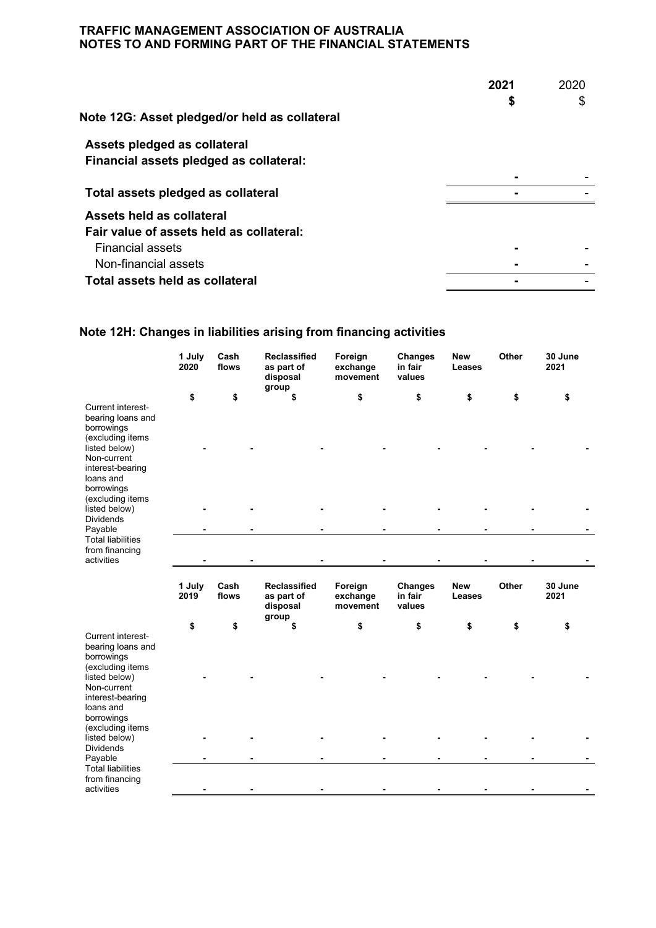|                                               | 2021 | 2020 |
|-----------------------------------------------|------|------|
|                                               | \$   | \$   |
| Note 12G: Asset pledged/or held as collateral |      |      |
| Assets pledged as collateral                  |      |      |
| Financial assets pledged as collateral:       |      |      |
|                                               |      |      |
| Total assets pledged as collateral            |      |      |
| Assets held as collateral                     |      |      |
| Fair value of assets held as collateral:      |      |      |
| <b>Financial assets</b>                       |      |      |
| Non-financial assets                          |      |      |
| Total assets held as collateral               |      |      |

# **Note 12H: Changes in liabilities arising from financing activities**

|                                                                                                                                                                                              | 1 July<br>2020 | Cash<br>flows | <b>Reclassified</b><br>as part of<br>disposal<br>group | Foreign<br>exchange<br>movement | Changes<br>in fair<br>values        | <b>New</b><br>Leases | Other        | 30 June<br>2021 |
|----------------------------------------------------------------------------------------------------------------------------------------------------------------------------------------------|----------------|---------------|--------------------------------------------------------|---------------------------------|-------------------------------------|----------------------|--------------|-----------------|
| Current interest-<br>bearing loans and<br>borrowings<br>(excluding items<br>listed below)<br>Non-current<br>interest-bearing<br>loans and<br>borrowings<br>(excluding items                  | \$             | \$            | \$                                                     | \$                              | \$                                  | \$                   | \$           | \$              |
| listed below)<br><b>Dividends</b><br>Payable                                                                                                                                                 |                |               |                                                        |                                 |                                     |                      |              |                 |
| <b>Total liabilities</b><br>from financing<br>activities                                                                                                                                     |                |               |                                                        |                                 |                                     |                      |              |                 |
|                                                                                                                                                                                              | 1 July<br>2019 | Cash<br>flows | <b>Reclassified</b><br>as part of<br>disposal<br>group | Foreign<br>exchange<br>movement | <b>Changes</b><br>in fair<br>values | <b>New</b><br>Leases | <b>Other</b> | 30 June<br>2021 |
| Current interest-<br>bearing loans and<br>borrowings<br>(excluding items<br>listed below)<br>Non-current<br>interest-bearing<br>loans and<br>borrowings<br>(excluding items<br>listed below) | \$             | \$            | \$                                                     | \$                              | \$                                  | \$                   | \$           | \$              |
| <b>Dividends</b><br>Payable<br><b>Total liabilities</b><br>from financing                                                                                                                    |                |               |                                                        |                                 |                                     |                      |              |                 |
| activities                                                                                                                                                                                   |                |               |                                                        |                                 |                                     |                      |              |                 |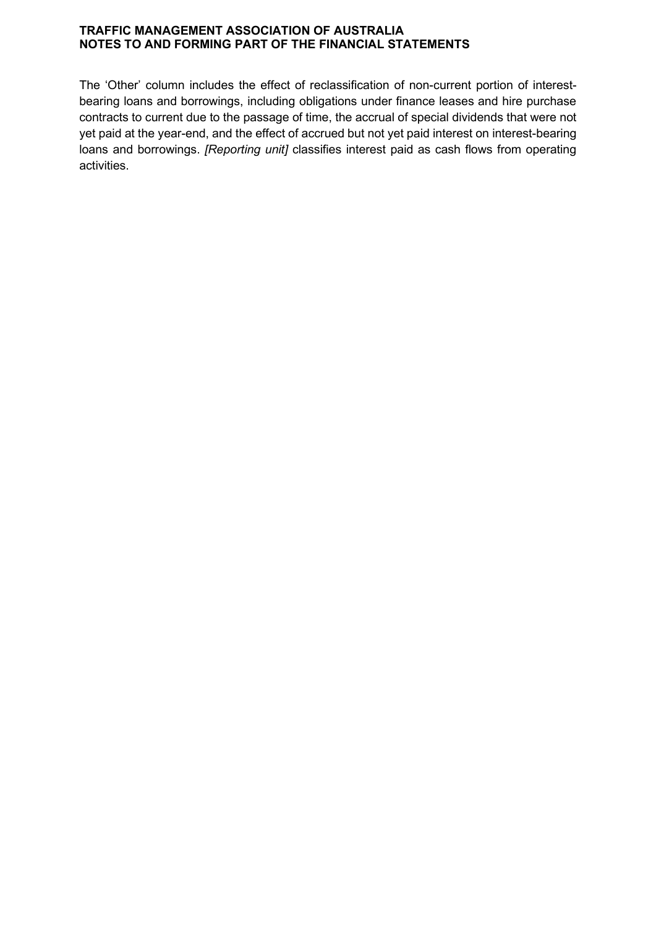The 'Other' column includes the effect of reclassification of non-current portion of interestbearing loans and borrowings, including obligations under finance leases and hire purchase contracts to current due to the passage of time, the accrual of special dividends that were not yet paid at the year-end, and the effect of accrued but not yet paid interest on interest-bearing loans and borrowings. *[Reporting unit]* classifies interest paid as cash flows from operating activities.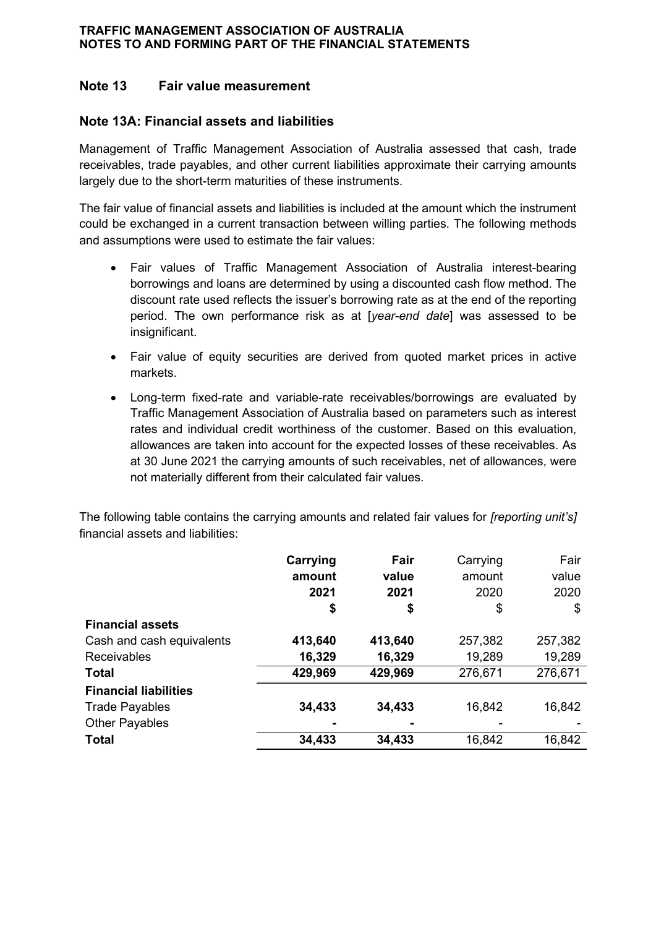# **Note 13 Fair value measurement**

# **Note 13A: Financial assets and liabilities**

Management of Traffic Management Association of Australia assessed that cash, trade receivables, trade payables, and other current liabilities approximate their carrying amounts largely due to the short-term maturities of these instruments.

The fair value of financial assets and liabilities is included at the amount which the instrument could be exchanged in a current transaction between willing parties. The following methods and assumptions were used to estimate the fair values:

- Fair values of Traffic Management Association of Australia interest-bearing borrowings and loans are determined by using a discounted cash flow method. The discount rate used reflects the issuer's borrowing rate as at the end of the reporting period. The own performance risk as at [*year-end date*] was assessed to be insignificant.
- Fair value of equity securities are derived from quoted market prices in active markets.
- Long-term fixed-rate and variable-rate receivables/borrowings are evaluated by Traffic Management Association of Australia based on parameters such as interest rates and individual credit worthiness of the customer. Based on this evaluation, allowances are taken into account for the expected losses of these receivables. As at 30 June 2021 the carrying amounts of such receivables, net of allowances, were not materially different from their calculated fair values.

The following table contains the carrying amounts and related fair values for *[reporting unit's]* financial assets and liabilities:

|                              | Carrying | Fair    | Carrying | Fair    |
|------------------------------|----------|---------|----------|---------|
|                              | amount   | value   | amount   | value   |
|                              | 2021     | 2021    | 2020     | 2020    |
|                              | \$       | \$      | \$       | \$      |
| <b>Financial assets</b>      |          |         |          |         |
| Cash and cash equivalents    | 413,640  | 413,640 | 257,382  | 257,382 |
| <b>Receivables</b>           | 16,329   | 16,329  | 19,289   | 19,289  |
| <b>Total</b>                 | 429,969  | 429,969 | 276,671  | 276,671 |
| <b>Financial liabilities</b> |          |         |          |         |
| <b>Trade Payables</b>        | 34,433   | 34,433  | 16,842   | 16,842  |
| <b>Other Payables</b>        |          |         |          |         |
| <b>Total</b>                 | 34,433   | 34,433  | 16,842   | 16,842  |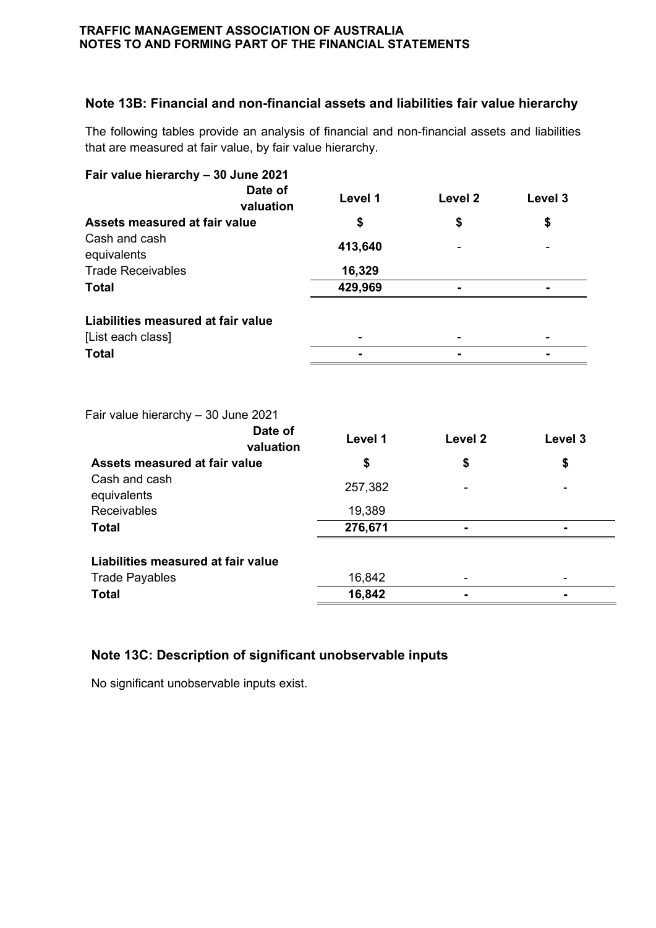# **Note 13B: Financial and non-financial assets and liabilities fair value hierarchy**

The following tables provide an analysis of financial and non-financial assets and liabilities that are measured at fair value, by fair value hierarchy.

| Fair value hierarchy - 30 June 2021                         |         |                    |         |
|-------------------------------------------------------------|---------|--------------------|---------|
| Date of<br>valuation                                        | Level 1 | Level <sub>2</sub> | Level 3 |
| <b>Assets measured at fair value</b>                        | \$      | \$                 | \$      |
| Cash and cash<br>equivalents                                | 413,640 |                    |         |
| <b>Trade Receivables</b>                                    | 16,329  |                    |         |
| <b>Total</b>                                                | 429,969 |                    |         |
| Liabilities measured at fair value                          |         |                    |         |
| [List each class]                                           |         |                    |         |
| <b>Total</b>                                                |         |                    |         |
| Fair value hierarchy - 30 June 2021<br>Date of<br>valuation | Level 1 | Level <sub>2</sub> | Level 3 |
| Assets measured at fair value                               | \$      | \$                 | \$      |
| Cash and cash<br>equivalents                                | 257,382 |                    |         |
| Receivables                                                 | 19,389  |                    |         |
| <b>Total</b>                                                | 276,671 |                    |         |
| Liabilities measured at fair value                          |         |                    |         |
| <b>Trade Payables</b>                                       | 16,842  |                    |         |
| <b>Total</b>                                                | 16,842  | $\blacksquare$     | -       |
|                                                             |         |                    |         |

# **Note 13C: Description of significant unobservable inputs**

No significant unobservable inputs exist.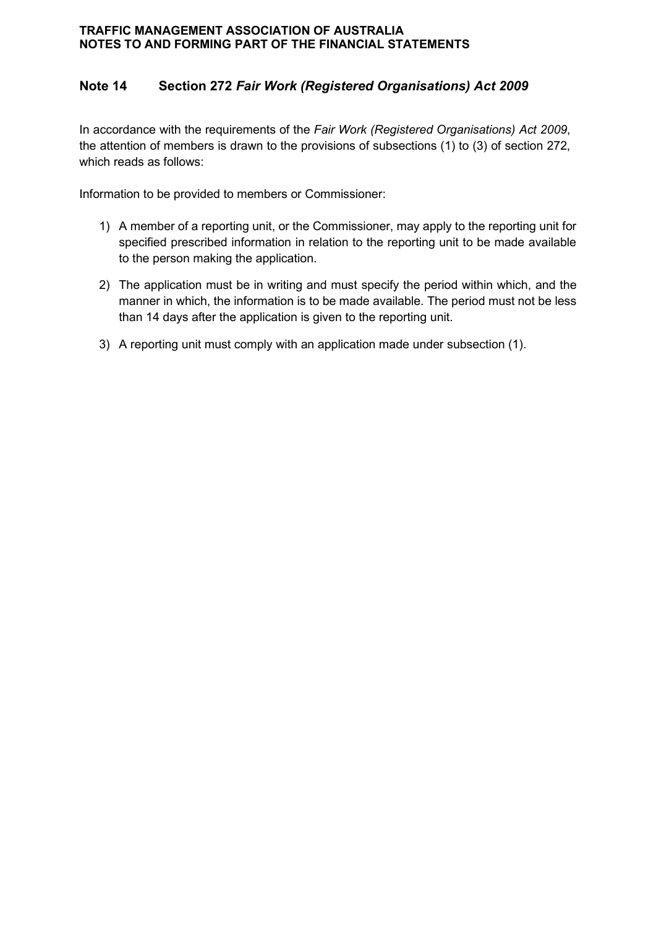# **Note 14 Section 272** *Fair Work (Registered Organisations) Act 2009*

In accordance with the requirements of the *Fair Work (Registered Organisations) Act 2009*, the attention of members is drawn to the provisions of subsections (1) to (3) of section 272, which reads as follows:

Information to be provided to members or Commissioner:

- 1) A member of a reporting unit, or the Commissioner, may apply to the reporting unit for specified prescribed information in relation to the reporting unit to be made available to the person making the application.
- 2) The application must be in writing and must specify the period within which, and the manner in which, the information is to be made available. The period must not be less than 14 days after the application is given to the reporting unit.
- 3) A reporting unit must comply with an application made under subsection (1).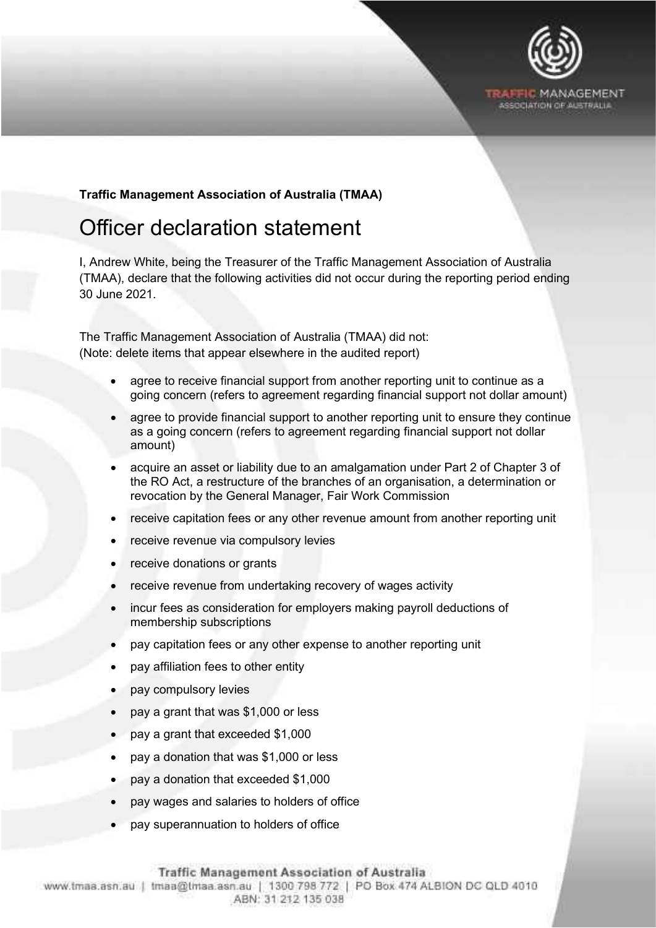

### **Traffic Management Association of Australia (TMAA)**

# <span id="page-50-0"></span>Officer declaration statement

Et\_

I, Andrew White, being the Treasurer of the Traffic Management Association of Australia (TMAA), declare that the following activities did not occur during the reporting period ending 30 June 2021.

The Traffic Management Association of Australia (TMAA) did not: (Note: delete items that appear elsewhere in the audited report)

- agree to receive financial support from another reporting unit to continue as a going concern (refers to agreement regarding financial support not dollar amount)
- agree to provide financial support to another reporting unit to ensure they continue as a going concern (refers to agreement regarding financial support not dollar amount)
- acquire an asset or liability due to an amalgamation under Part 2 of Chapter 3 of the RO Act, a restructure of the branches of an organisation, a determination or revocation by the General Manager, Fair Work Commission
- receive capitation fees or any other revenue amount from another reporting unit
- receive revenue via compulsory levies
- receive donations or grants
- receive revenue from undertaking recovery of wages activity
- incur fees as consideration for employers making payroll deductions of membership subscriptions
- pay capitation fees or any other expense to another reporting unit
- pay affiliation fees to other entity
- pay compulsory levies
- pay a grant that was \$1,000 or less
- pay a grant that exceeded \$1,000
- pay a donation that was \$1,000 or less
- pay a donation that exceeded \$1,000
- pay wages and salaries to holders of office
- pay superannuation to holders of office

www.lmaa.asn.au I tmaa@lmaa.asn.au I 1300 798 772 I PO Box 474 ALBION DC OLD 4010 ABN: 31 212 135 038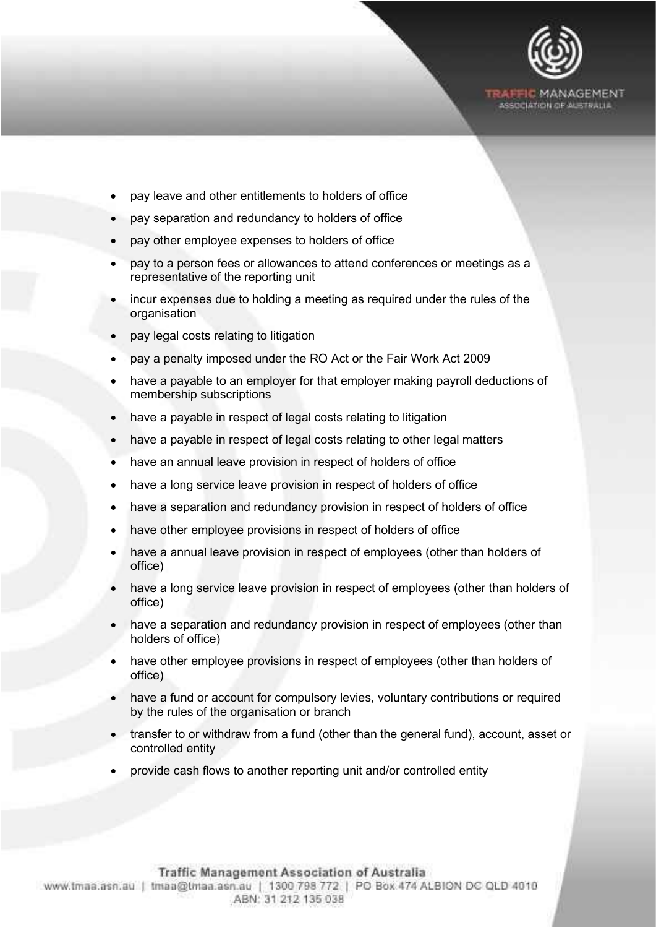

- pay leave and other entitlements to holders of office
- pay separation and redundancy to holders of office
- pay other employee expenses to holders of office
- pay to a person fees or allowances to attend conferences or meetings as a representative of the reporting unit
- incur expenses due to holding a meeting as required under the rules of the organisation
- pay legal costs relating to litigation

Et\_

- pay a penalty imposed under the RO Act or the Fair Work Act 2009
- have a payable to an employer for that employer making payroll deductions of membership subscriptions
- have a payable in respect of legal costs relating to litigation
- have a payable in respect of legal costs relating to other legal matters
- have an annual leave provision in respect of holders of office
- have a long service leave provision in respect of holders of office
- have a separation and redundancy provision in respect of holders of office
- have other employee provisions in respect of holders of office
- have a annual leave provision in respect of employees (other than holders of office)
- have a long service leave provision in respect of employees (other than holders of office)
- have a separation and redundancy provision in respect of employees (other than holders of office)
- have other employee provisions in respect of employees (other than holders of office)
- have a fund or account for compulsory levies, voluntary contributions or required by the rules of the organisation or branch
- transfer to or withdraw from a fund (other than the general fund), account, asset or controlled entity
- provide cash flows to another reporting unit and/or controlled entity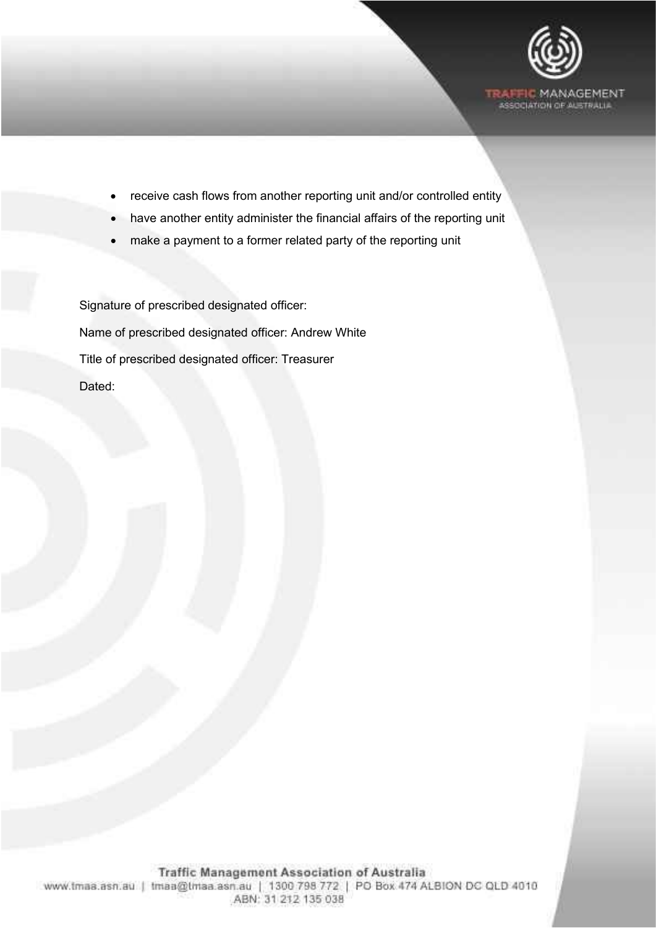

- receive cash flows from another reporting unit and/or controlled entity
- have another entity administer the financial affairs of the reporting unit
- make a payment to a former related party of the reporting unit

Signature of prescribed designated officer: Name of prescribed designated officer: Andrew White Title of prescribed designated officer: Treasurer Dated:

Et\_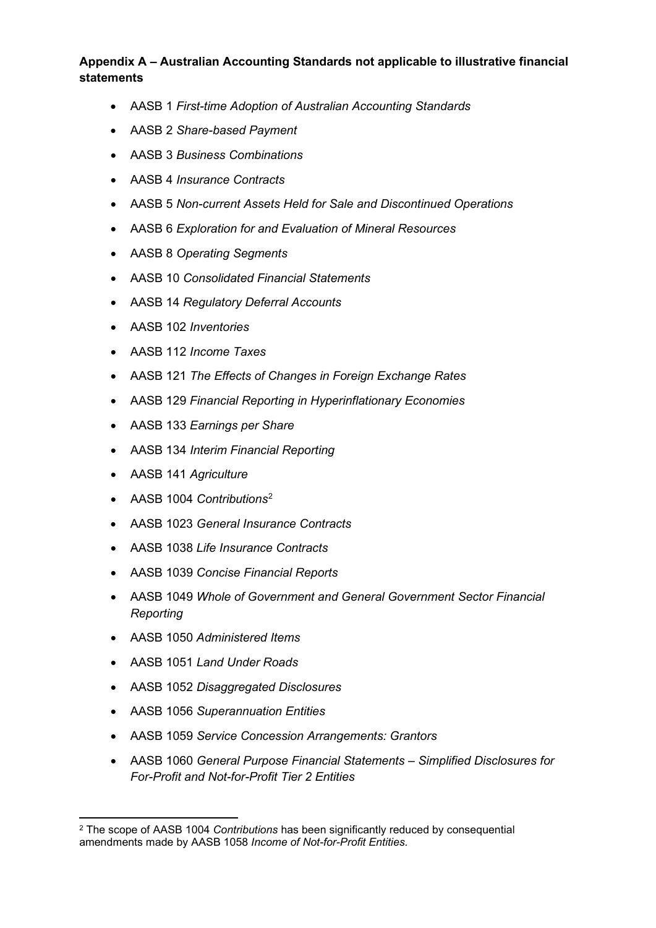# **Appendix A – Australian Accounting Standards not applicable to illustrative financial statements**

- AASB 1 *First-time Adoption of Australian Accounting Standards*
- AASB 2 *Share-based Payment*
- AASB 3 *Business Combinations*
- AASB 4 *Insurance Contracts*
- AASB 5 *Non-current Assets Held for Sale and Discontinued Operations*
- AASB 6 *Exploration for and Evaluation of Mineral Resources*
- AASB 8 *Operating Segments*
- AASB 10 *Consolidated Financial Statements*
- AASB 14 *Regulatory Deferral Accounts*
- AASB 102 *Inventories*
- AASB 112 *Income Taxes*
- AASB 121 *The Effects of Changes in Foreign Exchange Rates*
- AASB 129 *Financial Reporting in Hyperinflationary Economies*
- AASB 133 *Earnings per Share*
- AASB 134 *Interim Financial Reporting*
- AASB 141 *Agriculture*
- AASB 1004 *Contributions*[2](#page-53-0)
- AASB 1023 *General Insurance Contracts*
- AASB 1038 *Life Insurance Contracts*
- AASB 1039 *Concise Financial Reports*
- AASB 1049 *Whole of Government and General Government Sector Financial Reporting*
- AASB 1050 *Administered Items*
- AASB 1051 *Land Under Roads*
- AASB 1052 *Disaggregated Disclosures*
- AASB 1056 *Superannuation Entities*
- AASB 1059 *Service Concession Arrangements: Grantors*
- AASB 1060 *General Purpose Financial Statements – Simplified Disclosures for For-Profit and Not-for-Profit Tier 2 Entities*

<span id="page-53-0"></span><sup>2</sup> The scope of AASB 1004 *Contributions* has been significantly reduced by consequential amendments made by AASB 1058 *Income of Not-for-Profit Entities.*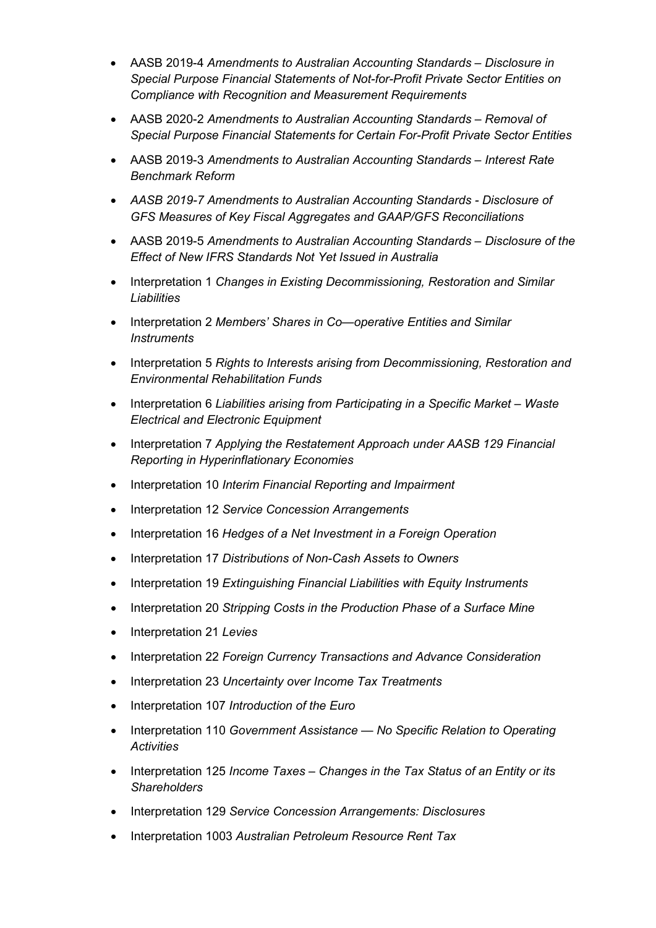- AASB 2019-4 *Amendments to Australian Accounting Standards – Disclosure in Special Purpose Financial Statements of Not-for-Profit Private Sector Entities on Compliance with Recognition and Measurement Requirements*
- AASB 2020-2 *Amendments to Australian Accounting Standards – Removal of Special Purpose Financial Statements for Certain For-Profit Private Sector Entities*
- AASB 2019-3 *Amendments to Australian Accounting Standards – Interest Rate Benchmark Reform*
- *AASB 2019-7 Amendments to Australian Accounting Standards - Disclosure of GFS Measures of Key Fiscal Aggregates and GAAP/GFS Reconciliations*
- AASB 2019-5 *Amendments to Australian Accounting Standards – Disclosure of the Effect of New IFRS Standards Not Yet Issued in Australia*
- Interpretation 1 *Changes in Existing Decommissioning, Restoration and Similar Liabilities*
- Interpretation 2 *Members' Shares in Co—operative Entities and Similar Instruments*
- Interpretation 5 *Rights to Interests arising from Decommissioning, Restoration and Environmental Rehabilitation Funds*
- Interpretation 6 *Liabilities arising from Participating in a Specific Market – Waste Electrical and Electronic Equipment*
- Interpretation 7 *Applying the Restatement Approach under AASB 129 Financial Reporting in Hyperinflationary Economies*
- Interpretation 10 *Interim Financial Reporting and Impairment*
- Interpretation 12 *Service Concession Arrangements*
- Interpretation 16 *Hedges of a Net Investment in a Foreign Operation*
- Interpretation 17 *Distributions of Non-Cash Assets to Owners*
- Interpretation 19 *Extinguishing Financial Liabilities with Equity Instruments*
- Interpretation 20 *Stripping Costs in the Production Phase of a Surface Mine*
- Interpretation 21 *Levies*
- Interpretation 22 *Foreign Currency Transactions and Advance Consideration*
- Interpretation 23 *Uncertainty over Income Tax Treatments*
- Interpretation 107 *Introduction of the Euro*
- Interpretation 110 *Government Assistance — No Specific Relation to Operating Activities*
- Interpretation 125 *Income Taxes – Changes in the Tax Status of an Entity or its Shareholders*
- Interpretation 129 *Service Concession Arrangements: Disclosures*
- Interpretation 1003 *Australian Petroleum Resource Rent Tax*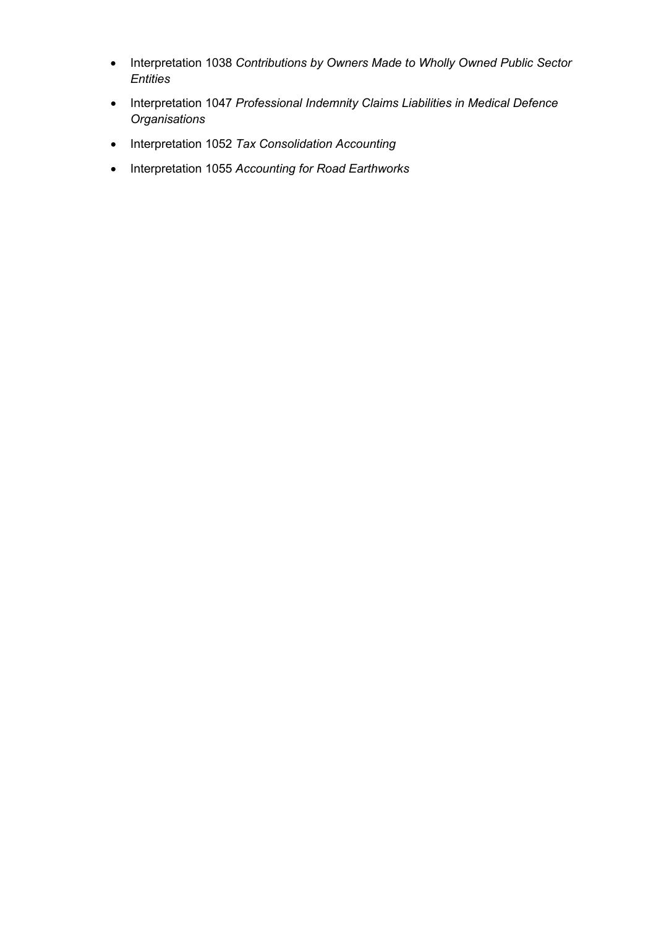- Interpretation 1038 *Contributions by Owners Made to Wholly Owned Public Sector Entities*
- Interpretation 1047 *Professional Indemnity Claims Liabilities in Medical Defence Organisations*
- Interpretation 1052 *Tax Consolidation Accounting*
- Interpretation 1055 *Accounting for Road Earthworks*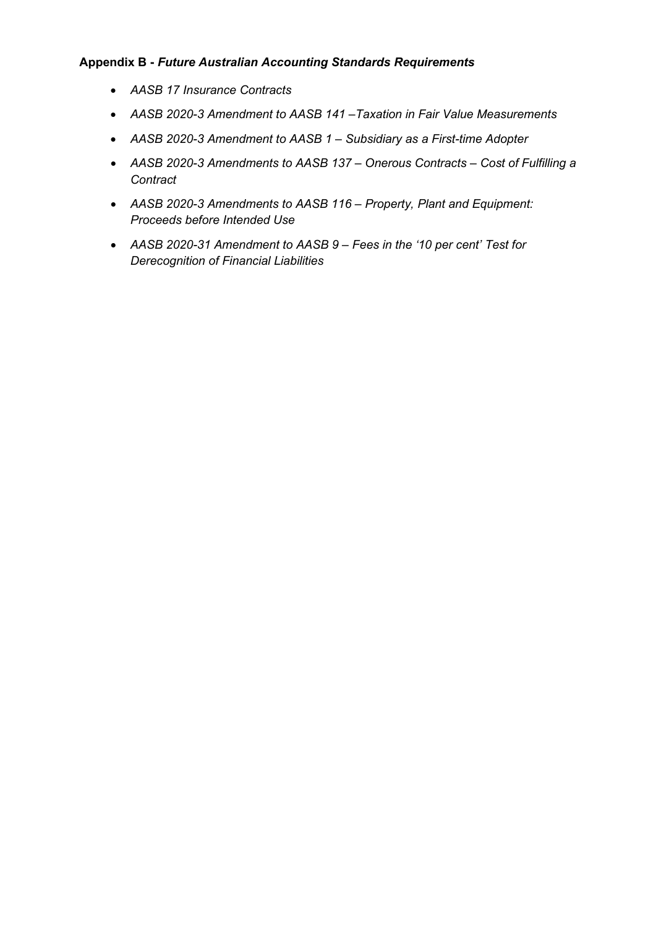### **Appendix B -** *Future Australian Accounting Standards Requirements*

- *AASB 17 Insurance Contracts*
- *AASB 2020-3 Amendment to AASB 141 –Taxation in Fair Value Measurements*
- *AASB 2020-3 Amendment to AASB 1 – Subsidiary as a First-time Adopter*
- *AASB 2020-3 Amendments to AASB 137 – Onerous Contracts – Cost of Fulfilling a Contract*
- *AASB 2020-3 Amendments to AASB 116 – Property, Plant and Equipment: Proceeds before Intended Use*
- *AASB 2020-31 Amendment to AASB 9 – Fees in the '10 per cent' Test for Derecognition of Financial Liabilities*